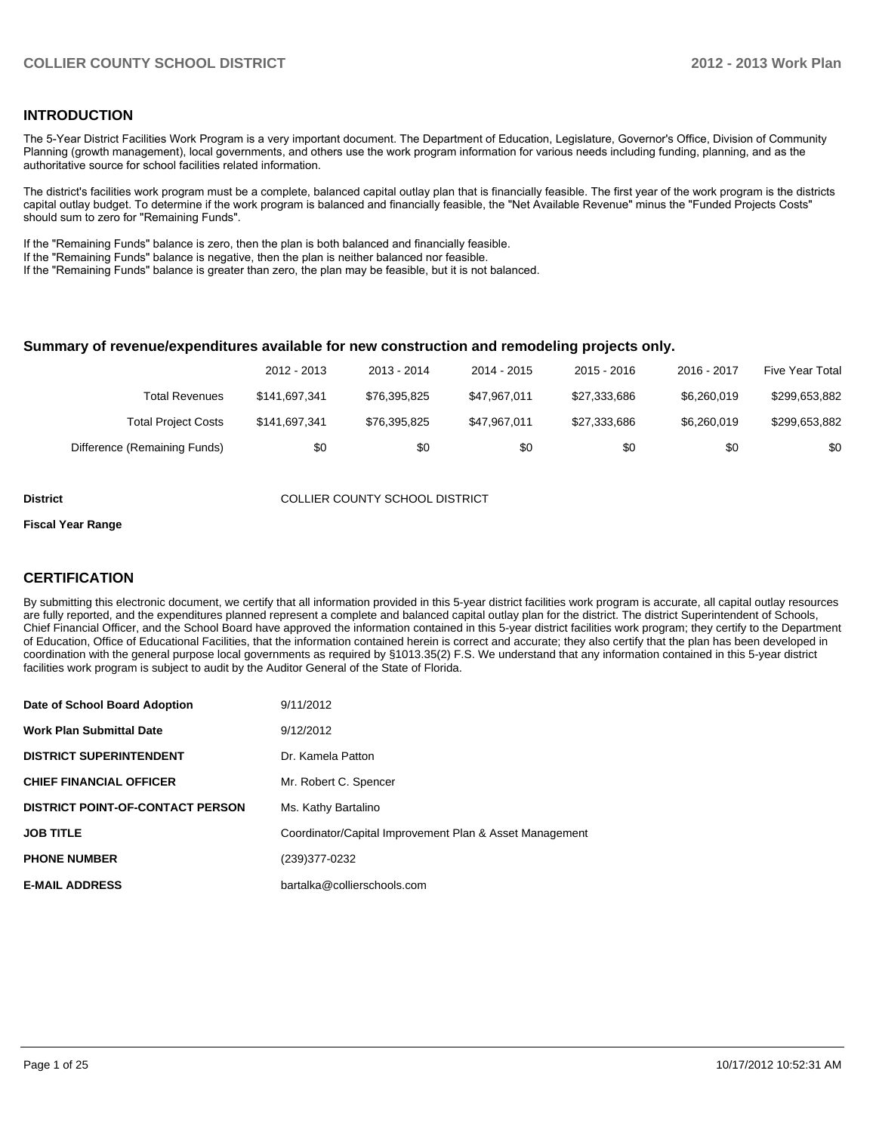#### **INTRODUCTION**

The 5-Year District Facilities Work Program is a very important document. The Department of Education, Legislature, Governor's Office, Division of Community Planning (growth management), local governments, and others use the work program information for various needs including funding, planning, and as the authoritative source for school facilities related information.

The district's facilities work program must be a complete, balanced capital outlay plan that is financially feasible. The first year of the work program is the districts capital outlay budget. To determine if the work program is balanced and financially feasible, the "Net Available Revenue" minus the "Funded Projects Costs" should sum to zero for "Remaining Funds".

If the "Remaining Funds" balance is zero, then the plan is both balanced and financially feasible.

If the "Remaining Funds" balance is negative, then the plan is neither balanced nor feasible.

If the "Remaining Funds" balance is greater than zero, the plan may be feasible, but it is not balanced.

#### **Summary of revenue/expenditures available for new construction and remodeling projects only.**

|                              | 2012 - 2013   | 2013 - 2014  | 2014 - 2015  | $2015 - 2016$ | 2016 - 2017 | Five Year Total |
|------------------------------|---------------|--------------|--------------|---------------|-------------|-----------------|
| Total Revenues               | \$141.697.341 | \$76.395.825 | \$47.967.011 | \$27.333.686  | \$6,260,019 | \$299,653,882   |
| <b>Total Project Costs</b>   | \$141,697,341 | \$76.395.825 | \$47.967.011 | \$27.333.686  | \$6,260,019 | \$299,653,882   |
| Difference (Remaining Funds) | \$0           | \$0          | \$0          | \$0           | \$0         | \$0             |

**District** COLLIER COUNTY SCHOOL DISTRICT

#### **Fiscal Year Range**

#### **CERTIFICATION**

By submitting this electronic document, we certify that all information provided in this 5-year district facilities work program is accurate, all capital outlay resources are fully reported, and the expenditures planned represent a complete and balanced capital outlay plan for the district. The district Superintendent of Schools, Chief Financial Officer, and the School Board have approved the information contained in this 5-year district facilities work program; they certify to the Department of Education, Office of Educational Facilities, that the information contained herein is correct and accurate; they also certify that the plan has been developed in coordination with the general purpose local governments as required by §1013.35(2) F.S. We understand that any information contained in this 5-year district facilities work program is subject to audit by the Auditor General of the State of Florida.

| Date of School Board Adoption           | 9/11/2012                                               |
|-----------------------------------------|---------------------------------------------------------|
| <b>Work Plan Submittal Date</b>         | 9/12/2012                                               |
| <b>DISTRICT SUPERINTENDENT</b>          | Dr. Kamela Patton                                       |
| <b>CHIEF FINANCIAL OFFICER</b>          | Mr. Robert C. Spencer                                   |
| <b>DISTRICT POINT-OF-CONTACT PERSON</b> | Ms. Kathy Bartalino                                     |
| <b>JOB TITLE</b>                        | Coordinator/Capital Improvement Plan & Asset Management |
| <b>PHONE NUMBER</b>                     | (239)377-0232                                           |
| <b>E-MAIL ADDRESS</b>                   | bartalka@collierschools.com                             |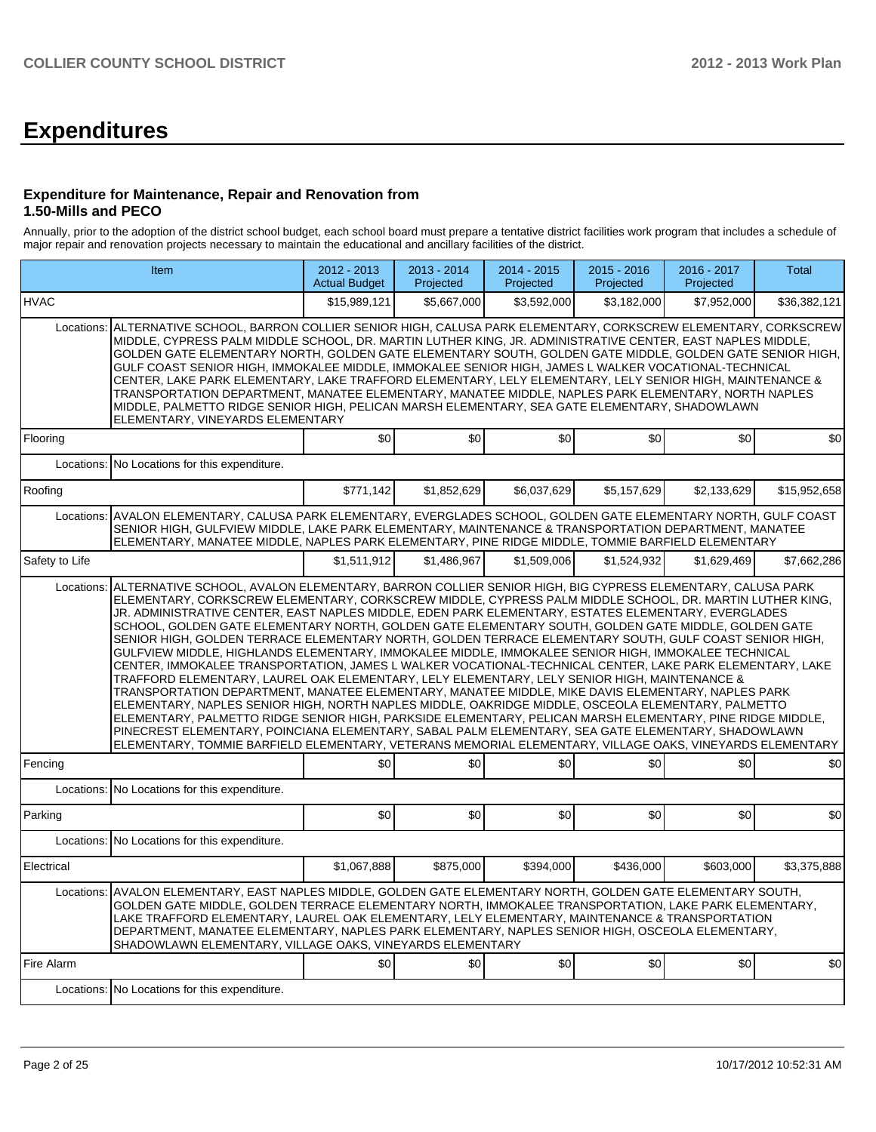# **Expenditures**

#### **Expenditure for Maintenance, Repair and Renovation from 1.50-Mills and PECO**

Annually, prior to the adoption of the district school budget, each school board must prepare a tentative district facilities work program that includes a schedule of major repair and renovation projects necessary to maintain the educational and ancillary facilities of the district.

|                | Item                                                                                                                                                                                                                                                                                                                                                                                                                                                                                                                                                                                                                                                                                                                                                                                                                                                                                                                                                                                                                                                                                                                                                                                                                                                                                                                                                                                                                 | 2012 - 2013<br><b>Actual Budget</b> | 2013 - 2014<br>Projected | $2014 - 2015$<br>Projected | $2015 - 2016$<br>Projected | 2016 - 2017<br>Projected | Total        |  |  |  |  |  |
|----------------|----------------------------------------------------------------------------------------------------------------------------------------------------------------------------------------------------------------------------------------------------------------------------------------------------------------------------------------------------------------------------------------------------------------------------------------------------------------------------------------------------------------------------------------------------------------------------------------------------------------------------------------------------------------------------------------------------------------------------------------------------------------------------------------------------------------------------------------------------------------------------------------------------------------------------------------------------------------------------------------------------------------------------------------------------------------------------------------------------------------------------------------------------------------------------------------------------------------------------------------------------------------------------------------------------------------------------------------------------------------------------------------------------------------------|-------------------------------------|--------------------------|----------------------------|----------------------------|--------------------------|--------------|--|--|--|--|--|
| <b>HVAC</b>    |                                                                                                                                                                                                                                                                                                                                                                                                                                                                                                                                                                                                                                                                                                                                                                                                                                                                                                                                                                                                                                                                                                                                                                                                                                                                                                                                                                                                                      | \$15,989,121                        | \$5,667,000              | \$3,592,000                | \$3,182,000                | \$7,952,000              | \$36,382,121 |  |  |  |  |  |
|                | Locations: ALTERNATIVE SCHOOL, BARRON COLLIER SENIOR HIGH, CALUSA PARK ELEMENTARY, CORKSCREW ELEMENTARY, CORKSCREW<br>MIDDLE, CYPRESS PALM MIDDLE SCHOOL, DR. MARTIN LUTHER KING, JR. ADMINISTRATIVE CENTER, EAST NAPLES MIDDLE,<br>GOLDEN GATE ELEMENTARY NORTH, GOLDEN GATE ELEMENTARY SOUTH, GOLDEN GATE MIDDLE, GOLDEN GATE SENIOR HIGH,<br>GULF COAST SENIOR HIGH, IMMOKALEE MIDDLE, IMMOKALEE SENIOR HIGH, JAMES L WALKER VOCATIONAL-TECHNICAL<br>CENTER, LAKE PARK ELEMENTARY, LAKE TRAFFORD ELEMENTARY, LELY ELEMENTARY, LELY SENIOR HIGH, MAINTENANCE &<br>TRANSPORTATION DEPARTMENT, MANATEE ELEMENTARY, MANATEE MIDDLE, NAPLES PARK ELEMENTARY, NORTH NAPLES<br>MIDDLE, PALMETTO RIDGE SENIOR HIGH, PELICAN MARSH ELEMENTARY, SEA GATE ELEMENTARY, SHADOWLAWN<br>ELEMENTARY, VINEYARDS ELEMENTARY                                                                                                                                                                                                                                                                                                                                                                                                                                                                                                                                                                                                         |                                     |                          |                            |                            |                          |              |  |  |  |  |  |
| Flooring       |                                                                                                                                                                                                                                                                                                                                                                                                                                                                                                                                                                                                                                                                                                                                                                                                                                                                                                                                                                                                                                                                                                                                                                                                                                                                                                                                                                                                                      | \$0                                 | \$0                      | \$0                        | \$0                        | \$0                      | \$0          |  |  |  |  |  |
|                | Locations: No Locations for this expenditure.                                                                                                                                                                                                                                                                                                                                                                                                                                                                                                                                                                                                                                                                                                                                                                                                                                                                                                                                                                                                                                                                                                                                                                                                                                                                                                                                                                        |                                     |                          |                            |                            |                          |              |  |  |  |  |  |
| Roofing        |                                                                                                                                                                                                                                                                                                                                                                                                                                                                                                                                                                                                                                                                                                                                                                                                                                                                                                                                                                                                                                                                                                                                                                                                                                                                                                                                                                                                                      | \$771,142                           | \$1,852,629              | \$6.037.629                | \$5,157,629                | \$2,133,629              | \$15,952,658 |  |  |  |  |  |
| Locations:     | AVALON ELEMENTARY, CALUSA PARK ELEMENTARY, EVERGLADES SCHOOL, GOLDEN GATE ELEMENTARY NORTH, GULF COAST<br>SENIOR HIGH, GULFVIEW MIDDLE, LAKE PARK ELEMENTARY, MAINTENANCE & TRANSPORTATION DEPARTMENT, MANATEE<br>ELEMENTARY, MANATEE MIDDLE, NAPLES PARK ELEMENTARY, PINE RIDGE MIDDLE, TOMMIE BARFIELD ELEMENTARY                                                                                                                                                                                                                                                                                                                                                                                                                                                                                                                                                                                                                                                                                                                                                                                                                                                                                                                                                                                                                                                                                                  |                                     |                          |                            |                            |                          |              |  |  |  |  |  |
| Safety to Life |                                                                                                                                                                                                                                                                                                                                                                                                                                                                                                                                                                                                                                                                                                                                                                                                                                                                                                                                                                                                                                                                                                                                                                                                                                                                                                                                                                                                                      | \$1,511,912                         | \$1,486,967              | \$1,509,006                | \$1,524,932                | \$1,629,469              | \$7,662,286  |  |  |  |  |  |
|                | ALTERNATIVE SCHOOL, AVALON ELEMENTARY, BARRON COLLIER SENIOR HIGH, BIG CYPRESS ELEMENTARY, CALUSA PARK<br>Locations:<br>ELEMENTARY, CORKSCREW ELEMENTARY, CORKSCREW MIDDLE, CYPRESS PALM MIDDLE SCHOOL, DR. MARTIN LUTHER KING,<br>JR. ADMINISTRATIVE CENTER, EAST NAPLES MIDDLE, EDEN PARK ELEMENTARY, ESTATES ELEMENTARY, EVERGLADES<br>SCHOOL, GOLDEN GATE ELEMENTARY NORTH, GOLDEN GATE ELEMENTARY SOUTH, GOLDEN GATE MIDDLE, GOLDEN GATE<br>SENIOR HIGH, GOLDEN TERRACE ELEMENTARY NORTH, GOLDEN TERRACE ELEMENTARY SOUTH, GULF COAST SENIOR HIGH,<br>GULFVIEW MIDDLE. HIGHLANDS ELEMENTARY. IMMOKALEE MIDDLE. IMMOKALEE SENIOR HIGH. IMMOKALEE TECHNICAL<br>CENTER, IMMOKALEE TRANSPORTATION, JAMES L WALKER VOCATIONAL-TECHNICAL CENTER, LAKE PARK ELEMENTARY, LAKE<br>TRAFFORD ELEMENTARY, LAUREL OAK ELEMENTARY, LELY ELEMENTARY, LELY SENIOR HIGH, MAINTENANCE &<br>TRANSPORTATION DEPARTMENT, MANATEE ELEMENTARY, MANATEE MIDDLE, MIKE DAVIS ELEMENTARY, NAPLES PARK<br>ELEMENTARY, NAPLES SENIOR HIGH, NORTH NAPLES MIDDLE, OAKRIDGE MIDDLE, OSCEOLA ELEMENTARY, PALMETTO<br>ELEMENTARY, PALMETTO RIDGE SENIOR HIGH, PARKSIDE ELEMENTARY, PELICAN MARSH ELEMENTARY, PINE RIDGE MIDDLE,<br>PINECREST ELEMENTARY, POINCIANA ELEMENTARY, SABAL PALM ELEMENTARY, SEA GATE ELEMENTARY, SHADOWLAWN<br>ELEMENTARY, TOMMIE BARFIELD ELEMENTARY, VETERANS MEMORIAL ELEMENTARY, VILLAGE OAKS, VINEYARDS ELEMENTARY |                                     |                          |                            |                            |                          |              |  |  |  |  |  |
| Fencing        |                                                                                                                                                                                                                                                                                                                                                                                                                                                                                                                                                                                                                                                                                                                                                                                                                                                                                                                                                                                                                                                                                                                                                                                                                                                                                                                                                                                                                      | SO <sub>2</sub>                     | \$0                      | \$0                        | \$0                        | \$0                      | \$0          |  |  |  |  |  |
|                | Locations: No Locations for this expenditure.                                                                                                                                                                                                                                                                                                                                                                                                                                                                                                                                                                                                                                                                                                                                                                                                                                                                                                                                                                                                                                                                                                                                                                                                                                                                                                                                                                        |                                     |                          |                            |                            |                          |              |  |  |  |  |  |
| Parking        |                                                                                                                                                                                                                                                                                                                                                                                                                                                                                                                                                                                                                                                                                                                                                                                                                                                                                                                                                                                                                                                                                                                                                                                                                                                                                                                                                                                                                      | \$0                                 | \$0                      | \$0                        | \$0                        | \$0                      | \$0          |  |  |  |  |  |
| Locations:     | No Locations for this expenditure.                                                                                                                                                                                                                                                                                                                                                                                                                                                                                                                                                                                                                                                                                                                                                                                                                                                                                                                                                                                                                                                                                                                                                                                                                                                                                                                                                                                   |                                     |                          |                            |                            |                          |              |  |  |  |  |  |
| Electrical     |                                                                                                                                                                                                                                                                                                                                                                                                                                                                                                                                                                                                                                                                                                                                                                                                                                                                                                                                                                                                                                                                                                                                                                                                                                                                                                                                                                                                                      | \$1,067,888                         | \$875,000                | \$394,000                  | \$436,000                  | \$603,000                | \$3,375,888  |  |  |  |  |  |
|                | AVALON ELEMENTARY, EAST NAPLES MIDDLE, GOLDEN GATE ELEMENTARY NORTH, GOLDEN GATE ELEMENTARY SOUTH,<br>Locations:<br>GOLDEN GATE MIDDLE, GOLDEN TERRACE ELEMENTARY NORTH, IMMOKALEE TRANSPORTATION, LAKE PARK ELEMENTARY,<br>LAKE TRAFFORD ELEMENTARY, LAUREL OAK ELEMENTARY, LELY ELEMENTARY, MAINTENANCE & TRANSPORTATION<br>DEPARTMENT, MANATEE ELEMENTARY, NAPLES PARK ELEMENTARY, NAPLES SENIOR HIGH, OSCEOLA ELEMENTARY,<br>SHADOWLAWN ELEMENTARY, VILLAGE OAKS, VINEYARDS ELEMENTARY                                                                                                                                                                                                                                                                                                                                                                                                                                                                                                                                                                                                                                                                                                                                                                                                                                                                                                                           |                                     |                          |                            |                            |                          |              |  |  |  |  |  |
| Fire Alarm     |                                                                                                                                                                                                                                                                                                                                                                                                                                                                                                                                                                                                                                                                                                                                                                                                                                                                                                                                                                                                                                                                                                                                                                                                                                                                                                                                                                                                                      | \$0                                 | \$0                      | \$0                        | \$0                        | \$0                      | \$0          |  |  |  |  |  |
|                | Locations: No Locations for this expenditure.                                                                                                                                                                                                                                                                                                                                                                                                                                                                                                                                                                                                                                                                                                                                                                                                                                                                                                                                                                                                                                                                                                                                                                                                                                                                                                                                                                        |                                     |                          |                            |                            |                          |              |  |  |  |  |  |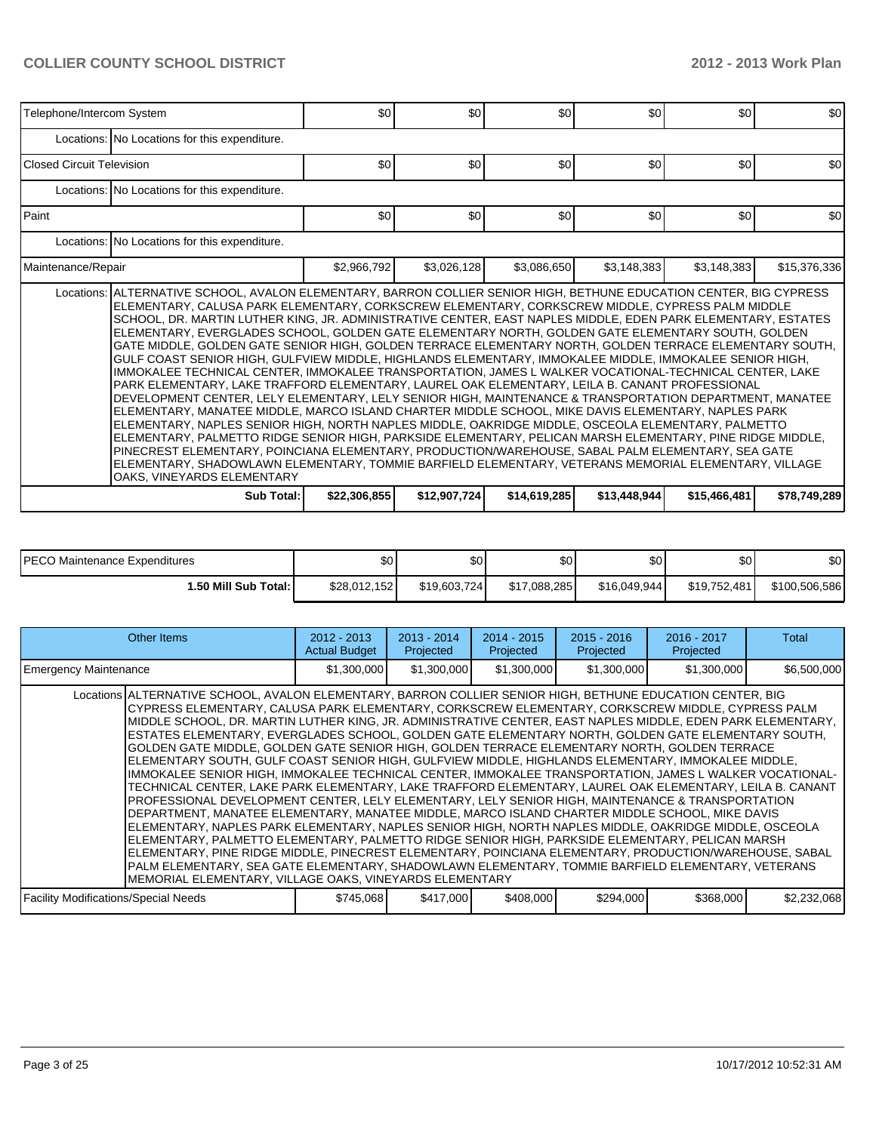| Telephone/Intercom System |                                                                                                                                                                                                                                                                                                                                                                                                                                                                                                                                                                                                                                                                                                                                                                                                                                                                                                                                                                                                                                                                                                                                                                                                                                                                                                                                                                                                                                                                                                                                                              | \$0          | \$0          | \$0          | \$0          | \$0          | \$0          |  |  |  |  |  |
|---------------------------|--------------------------------------------------------------------------------------------------------------------------------------------------------------------------------------------------------------------------------------------------------------------------------------------------------------------------------------------------------------------------------------------------------------------------------------------------------------------------------------------------------------------------------------------------------------------------------------------------------------------------------------------------------------------------------------------------------------------------------------------------------------------------------------------------------------------------------------------------------------------------------------------------------------------------------------------------------------------------------------------------------------------------------------------------------------------------------------------------------------------------------------------------------------------------------------------------------------------------------------------------------------------------------------------------------------------------------------------------------------------------------------------------------------------------------------------------------------------------------------------------------------------------------------------------------------|--------------|--------------|--------------|--------------|--------------|--------------|--|--|--|--|--|
|                           | Locations: No Locations for this expenditure.                                                                                                                                                                                                                                                                                                                                                                                                                                                                                                                                                                                                                                                                                                                                                                                                                                                                                                                                                                                                                                                                                                                                                                                                                                                                                                                                                                                                                                                                                                                |              |              |              |              |              |              |  |  |  |  |  |
| Closed Circuit Television |                                                                                                                                                                                                                                                                                                                                                                                                                                                                                                                                                                                                                                                                                                                                                                                                                                                                                                                                                                                                                                                                                                                                                                                                                                                                                                                                                                                                                                                                                                                                                              | \$0          | \$0          | \$0          | \$0          | \$0          | \$0          |  |  |  |  |  |
|                           | Locations: No Locations for this expenditure.                                                                                                                                                                                                                                                                                                                                                                                                                                                                                                                                                                                                                                                                                                                                                                                                                                                                                                                                                                                                                                                                                                                                                                                                                                                                                                                                                                                                                                                                                                                |              |              |              |              |              |              |  |  |  |  |  |
| Paint                     |                                                                                                                                                                                                                                                                                                                                                                                                                                                                                                                                                                                                                                                                                                                                                                                                                                                                                                                                                                                                                                                                                                                                                                                                                                                                                                                                                                                                                                                                                                                                                              | \$0          | \$0          | \$0          | \$0          | \$0          | \$0          |  |  |  |  |  |
|                           | Locations: No Locations for this expenditure.                                                                                                                                                                                                                                                                                                                                                                                                                                                                                                                                                                                                                                                                                                                                                                                                                                                                                                                                                                                                                                                                                                                                                                                                                                                                                                                                                                                                                                                                                                                |              |              |              |              |              |              |  |  |  |  |  |
| Maintenance/Repair        |                                                                                                                                                                                                                                                                                                                                                                                                                                                                                                                                                                                                                                                                                                                                                                                                                                                                                                                                                                                                                                                                                                                                                                                                                                                                                                                                                                                                                                                                                                                                                              | \$2,966,792  | \$3,026,128  | \$3,086,650  | \$3,148,383  | \$3,148,383  | \$15,376,336 |  |  |  |  |  |
|                           | Locations: ALTERNATIVE SCHOOL, AVALON ELEMENTARY, BARRON COLLIER SENIOR HIGH, BETHUNE EDUCATION CENTER, BIG CYPRESS<br>ELEMENTARY. CALUSA PARK ELEMENTARY. CORKSCREW ELEMENTARY. CORKSCREW MIDDLE. CYPRESS PALM MIDDLE<br>SCHOOL, DR. MARTIN LUTHER KING, JR. ADMINISTRATIVE CENTER, EAST NAPLES MIDDLE, EDEN PARK ELEMENTARY, ESTATES<br>ELEMENTARY, EVERGLADES SCHOOL, GOLDEN GATE ELEMENTARY NORTH, GOLDEN GATE ELEMENTARY SOUTH, GOLDEN<br>GATE MIDDLE, GOLDEN GATE SENIOR HIGH, GOLDEN TERRACE ELEMENTARY NORTH, GOLDEN TERRACE ELEMENTARY SOUTH,<br>GULF COAST SENIOR HIGH. GULFVIEW MIDDLE. HIGHLANDS ELEMENTARY. IMMOKALEE MIDDLE. IMMOKALEE SENIOR HIGH.<br>IMMOKALEE TECHNICAL CENTER, IMMOKALEE TRANSPORTATION, JAMES L WALKER VOCATIONAL-TECHNICAL CENTER, LAKE<br>PARK ELEMENTARY, LAKE TRAFFORD ELEMENTARY, LAUREL OAK ELEMENTARY, LEILA B. CANANT PROFESSIONAL<br>DEVELOPMENT CENTER, LELY ELEMENTARY, LELY SENIOR HIGH, MAINTENANCE & TRANSPORTATION DEPARTMENT, MANATEE<br>ELEMENTARY, MANATEE MIDDLE, MARCO ISLAND CHARTER MIDDLE SCHOOL, MIKE DAVIS ELEMENTARY, NAPLES PARK<br>ELEMENTARY. NAPLES SENIOR HIGH. NORTH NAPLES MIDDLE. OAKRIDGE MIDDLE. OSCEOLA ELEMENTARY. PALMETTO<br>ELEMENTARY, PALMETTO RIDGE SENIOR HIGH, PARKSIDE ELEMENTARY, PELICAN MARSH ELEMENTARY, PINE RIDGE MIDDLE,<br>PINECREST ELEMENTARY, POINCIANA ELEMENTARY, PRODUCTION/WAREHOUSE, SABAL PALM ELEMENTARY, SEA GATE<br>ELEMENTARY, SHADOWLAWN ELEMENTARY, TOMMIE BARFIELD ELEMENTARY, VETERANS MEMORIAL ELEMENTARY, VILLAGE<br>OAKS, VINEYARDS ELEMENTARY |              |              |              |              |              |              |  |  |  |  |  |
|                           | Sub Total:                                                                                                                                                                                                                                                                                                                                                                                                                                                                                                                                                                                                                                                                                                                                                                                                                                                                                                                                                                                                                                                                                                                                                                                                                                                                                                                                                                                                                                                                                                                                                   | \$22,306,855 | \$12,907,724 | \$14,619,285 | \$13,448,944 | \$15,466,481 | \$78,749,289 |  |  |  |  |  |

| <b>PECO Maintenance Expenditures</b> | ، Φ<br>υU    | \$0          | \$0          | ΦΩ<br>Ψυ     | ድስ<br>Ψ      | \$0           |
|--------------------------------------|--------------|--------------|--------------|--------------|--------------|---------------|
| 1.50 Mill Sub Total: I               | \$28.012.152 | \$19,603,724 | \$17.088.285 | \$16,049,944 | \$19.752.481 | \$100,506,586 |

| Other Items                                                                                                                                                                                                                                                                                                                                                                                                                                                                                                                                                                                                                                                                                                                                                                                                                                                                                                                                                                                                                                                                                                                                                                                                                                                                                                                                                                                                                                                                                                                                                   | $2012 - 2013$<br><b>Actual Budget</b> | $2013 - 2014$<br>Projected | $2014 - 2015$<br>Projected | $2015 - 2016$<br>Projected | 2016 - 2017<br>Projected | Total       |
|---------------------------------------------------------------------------------------------------------------------------------------------------------------------------------------------------------------------------------------------------------------------------------------------------------------------------------------------------------------------------------------------------------------------------------------------------------------------------------------------------------------------------------------------------------------------------------------------------------------------------------------------------------------------------------------------------------------------------------------------------------------------------------------------------------------------------------------------------------------------------------------------------------------------------------------------------------------------------------------------------------------------------------------------------------------------------------------------------------------------------------------------------------------------------------------------------------------------------------------------------------------------------------------------------------------------------------------------------------------------------------------------------------------------------------------------------------------------------------------------------------------------------------------------------------------|---------------------------------------|----------------------------|----------------------------|----------------------------|--------------------------|-------------|
| <b>Emergency Maintenance</b>                                                                                                                                                                                                                                                                                                                                                                                                                                                                                                                                                                                                                                                                                                                                                                                                                                                                                                                                                                                                                                                                                                                                                                                                                                                                                                                                                                                                                                                                                                                                  | \$1,300,000                           | \$1,300,000                | \$1,300,000                | \$1,300,000                | \$1,300,000              | \$6,500,000 |
| Locations ALTERNATIVE SCHOOL, AVALON ELEMENTARY, BARRON COLLIER SENIOR HIGH, BETHUNE EDUCATION CENTER, BIG<br>CYPRESS ELEMENTARY, CALUSA PARK ELEMENTARY, CORKSCREW ELEMENTARY, CORKSCREW MIDDLE, CYPRESS PALM<br>MIDDLE SCHOOL, DR. MARTIN LUTHER KING, JR. ADMINISTRATIVE CENTER, EAST NAPLES MIDDLE, EDEN PARK ELEMENTARY,<br>ESTATES ELEMENTARY, EVERGLADES SCHOOL, GOLDEN GATE ELEMENTARY NORTH, GOLDEN GATE ELEMENTARY SOUTH,<br>IGOLDEN GATE MIDDLE. GOLDEN GATE SENIOR HIGH. GOLDEN TERRACE ELEMENTARY NORTH. GOLDEN TERRACE<br>ELEMENTARY SOUTH, GULF COAST SENIOR HIGH, GULFVIEW MIDDLE, HIGHLANDS ELEMENTARY, IMMOKALEE MIDDLE,<br>IMMOKALEE SENIOR HIGH, IMMOKALEE TECHNICAL CENTER, IMMOKALEE TRANSPORTATION, JAMES L WALKER VOCATIONAL-<br>TECHNICAL CENTER, LAKE PARK ELEMENTARY, LAKE TRAFFORD ELEMENTARY, LAUREL OAK ELEMENTARY, LEILA B. CANANT<br>PROFESSIONAL DEVELOPMENT CENTER, LELY ELEMENTARY, LELY SENIOR HIGH, MAINTENANCE & TRANSPORTATION<br>DEPARTMENT, MANATEE ELEMENTARY, MANATEE MIDDLE, MARCO ISLAND CHARTER MIDDLE SCHOOL, MIKE DAVIS<br>ELEMENTARY, NAPLES PARK ELEMENTARY, NAPLES SENIOR HIGH, NORTH NAPLES MIDDLE, OAKRIDGE MIDDLE, OSCEOLA<br>ELEMENTARY, PALMETTO ELEMENTARY, PALMETTO RIDGE SENIOR HIGH, PARKSIDE ELEMENTARY, PELICAN MARSH<br>ELEMENTARY, PINE RIDGE MIDDLE, PINECREST ELEMENTARY, POINCIANA ELEMENTARY, PRODUCTION/WAREHOUSE, SABAL<br>PALM ELEMENTARY, SEA GATE ELEMENTARY, SHADOWLAWN ELEMENTARY, TOMMIE BARFIELD ELEMENTARY, VETERANS<br>MEMORIAL ELEMENTARY, VILLAGE OAKS, VINEYARDS ELEMENTARY |                                       |                            |                            |                            |                          |             |
| <b>Facility Modifications/Special Needs</b>                                                                                                                                                                                                                                                                                                                                                                                                                                                                                                                                                                                                                                                                                                                                                                                                                                                                                                                                                                                                                                                                                                                                                                                                                                                                                                                                                                                                                                                                                                                   | \$745,068                             | \$417,000                  | \$408,000                  | \$294,000                  | \$368,000                | \$2,232,068 |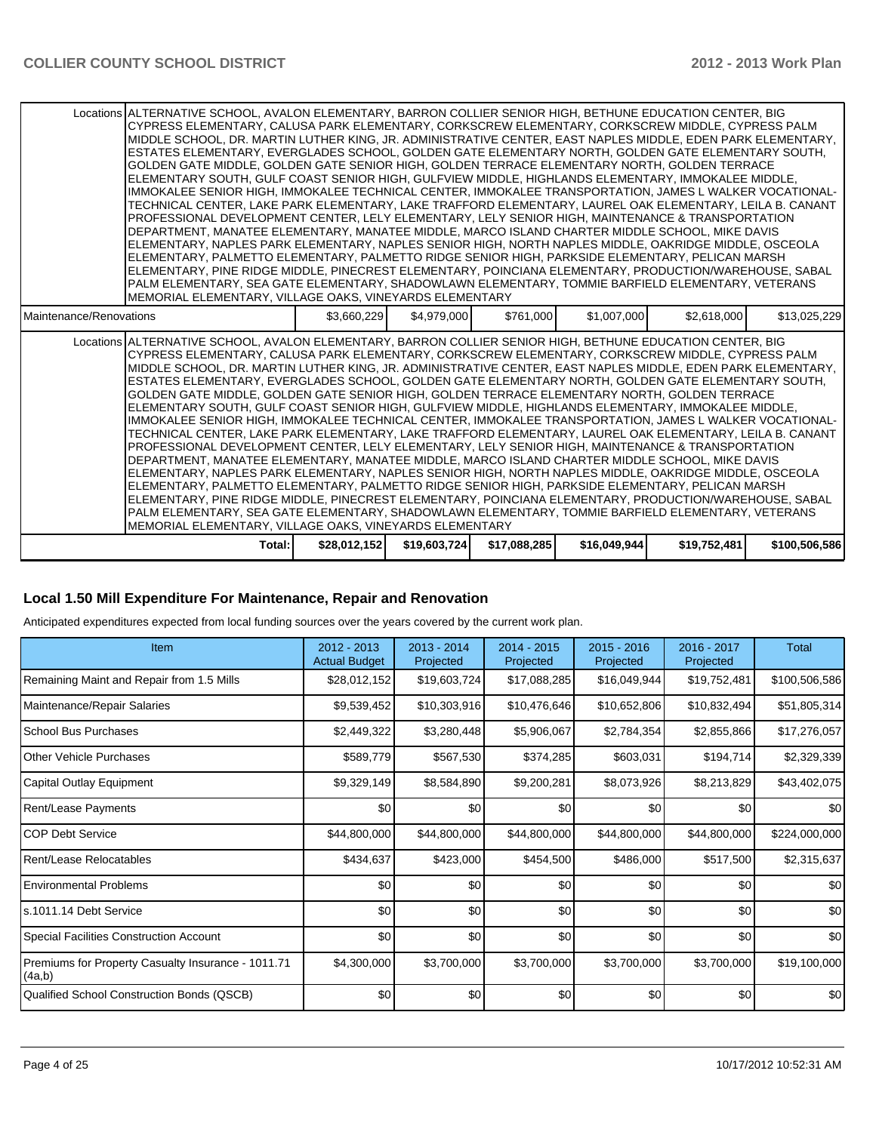| Locations ALTERNATIVE SCHOOL, AVALON ELEMENTARY, BARRON COLLIER SENIOR HIGH, BETHUNE EDUCATION CENTER, BIG<br>CYPRESS ELEMENTARY, CALUSA PARK ELEMENTARY, CORKSCREW ELEMENTARY, CORKSCREW MIDDLE, CYPRESS PALM<br>IMIDDLE SCHOOL. DR. MARTIN LUTHER KING. JR. ADMINISTRATIVE CENTER. EAST NAPLES MIDDLE. EDEN PARK ELEMENTARY.<br>ESTATES ELEMENTARY, EVERGLADES SCHOOL, GOLDEN GATE ELEMENTARY NORTH, GOLDEN GATE ELEMENTARY SOUTH,<br>GOLDEN GATE MIDDLE. GOLDEN GATE SENIOR HIGH. GOLDEN TERRACE ELEMENTARY NORTH. GOLDEN TERRACE<br>ELEMENTARY SOUTH, GULF COAST SENIOR HIGH, GULFVIEW MIDDLE, HIGHLANDS ELEMENTARY, IMMOKALEE MIDDLE,<br>IMMOKALEE SENIOR HIGH, IMMOKALEE TECHNICAL CENTER, IMMOKALEE TRANSPORTATION, JAMES L WALKER VOCATIONAL-<br>lTECHNICAL CENTER. LAKE PARK ELEMENTARY. LAKE TRAFFORD ELEMENTARY. LAUREL OAK ELEMENTARY. LEILA B. CANANT<br>PROFESSIONAL DEVELOPMENT CENTER, LELY ELEMENTARY, LELY SENIOR HIGH, MAINTENANCE & TRANSPORTATION<br>IDEPARTMENT. MANATEE ELEMENTARY. MANATEE MIDDLE. MARCO ISLAND CHARTER MIDDLE SCHOOL. MIKE DAVIS<br>ELEMENTARY, NAPLES PARK ELEMENTARY, NAPLES SENIOR HIGH, NORTH NAPLES MIDDLE, OAKRIDGE MIDDLE, OSCEOLA<br>ELEMENTARY, PALMETTO ELEMENTARY, PALMETTO RIDGE SENIOR HIGH, PARKSIDE ELEMENTARY, PELICAN MARSH<br>ELEMENTARY, PINE RIDGE MIDDLE, PINECREST ELEMENTARY, POINCIANA ELEMENTARY, PRODUCTION/WAREHOUSE, SABAL<br>PALM ELEMENTARY, SEA GATE ELEMENTARY, SHADOWLAWN ELEMENTARY, TOMMIE BARFIELD ELEMENTARY, VETERANS<br>MEMORIAL ELEMENTARY. VILLAGE OAKS. VINEYARDS ELEMENTARY |              |              |              |              |              |               |
|-----------------------------------------------------------------------------------------------------------------------------------------------------------------------------------------------------------------------------------------------------------------------------------------------------------------------------------------------------------------------------------------------------------------------------------------------------------------------------------------------------------------------------------------------------------------------------------------------------------------------------------------------------------------------------------------------------------------------------------------------------------------------------------------------------------------------------------------------------------------------------------------------------------------------------------------------------------------------------------------------------------------------------------------------------------------------------------------------------------------------------------------------------------------------------------------------------------------------------------------------------------------------------------------------------------------------------------------------------------------------------------------------------------------------------------------------------------------------------------------------------------------------------------------------------------------|--------------|--------------|--------------|--------------|--------------|---------------|
| Maintenance/Renovations                                                                                                                                                                                                                                                                                                                                                                                                                                                                                                                                                                                                                                                                                                                                                                                                                                                                                                                                                                                                                                                                                                                                                                                                                                                                                                                                                                                                                                                                                                                                         | \$3,660,229  | \$4,979,000  | \$761,000    | \$1,007,000  | \$2,618,000  | \$13,025,229  |
| Locations ALTERNATIVE SCHOOL, AVALON ELEMENTARY, BARRON COLLIER SENIOR HIGH, BETHUNE EDUCATION CENTER, BIG<br>CYPRESS ELEMENTARY, CALUSA PARK ELEMENTARY, CORKSCREW ELEMENTARY, CORKSCREW MIDDLE, CYPRESS PALM<br>IMIDDLE SCHOOL. DR. MARTIN LUTHER KING. JR. ADMINISTRATIVE CENTER. EAST NAPLES MIDDLE. EDEN PARK ELEMENTARY.<br>ESTATES ELEMENTARY, EVERGLADES SCHOOL, GOLDEN GATE ELEMENTARY NORTH, GOLDEN GATE ELEMENTARY SOUTH,<br>GOLDEN GATE MIDDLE, GOLDEN GATE SENIOR HIGH, GOLDEN TERRACE ELEMENTARY NORTH, GOLDEN TERRACE<br>ELEMENTARY SOUTH, GULF COAST SENIOR HIGH, GULFVIEW MIDDLE, HIGHLANDS ELEMENTARY, IMMOKALEE MIDDLE,<br>IIMMOKALEE SENIOR HIGH. IMMOKALEE TECHNICAL CENTER. IMMOKALEE TRANSPORTATION. JAMES L WALKER VOCATIONAL-<br>TECHNICAL CENTER. LAKE PARK ELEMENTARY. LAKE TRAFFORD ELEMENTARY. LAUREL OAK ELEMENTARY. LEILA B. CANANT<br>PROFESSIONAL DEVELOPMENT CENTER. LELY ELEMENTARY. LELY SENIOR HIGH. MAINTENANCE & TRANSPORTATION<br>DEPARTMENT, MANATEE ELEMENTARY, MANATEE MIDDLE, MARCO ISLAND CHARTER MIDDLE SCHOOL, MIKE DAVIS<br>ELEMENTARY, NAPLES PARK ELEMENTARY, NAPLES SENIOR HIGH, NORTH NAPLES MIDDLE, OAKRIDGE MIDDLE, OSCEOLA<br>ELEMENTARY. PALMETTO ELEMENTARY. PALMETTO RIDGE SENIOR HIGH. PARKSIDE ELEMENTARY. PELICAN MARSH<br>ELEMENTARY, PINE RIDGE MIDDLE, PINECREST ELEMENTARY, POINCIANA ELEMENTARY, PRODUCTION/WAREHOUSE, SABAL<br>PALM ELEMENTARY, SEA GATE ELEMENTARY, SHADOWLAWN ELEMENTARY, TOMMIE BARFIELD ELEMENTARY, VETERANS<br>MEMORIAL ELEMENTARY, VILLAGE OAKS, VINEYARDS ELEMENTARY  |              |              |              |              |              |               |
| Total:                                                                                                                                                                                                                                                                                                                                                                                                                                                                                                                                                                                                                                                                                                                                                                                                                                                                                                                                                                                                                                                                                                                                                                                                                                                                                                                                                                                                                                                                                                                                                          | \$28,012,152 | \$19,603,724 | \$17,088,285 | \$16,049,944 | \$19,752,481 | \$100,506,586 |

#### **Local 1.50 Mill Expenditure For Maintenance, Repair and Renovation**

Anticipated expenditures expected from local funding sources over the years covered by the current work plan.

| Item                                                         | $2012 - 2013$<br><b>Actual Budget</b> | 2013 - 2014<br>Projected | 2014 - 2015<br>Projected | $2015 - 2016$<br>Projected | 2016 - 2017<br>Projected | <b>Total</b>  |
|--------------------------------------------------------------|---------------------------------------|--------------------------|--------------------------|----------------------------|--------------------------|---------------|
| Remaining Maint and Repair from 1.5 Mills                    | \$28,012,152                          | \$19,603,724]            | \$17,088,285             | \$16,049,944               | \$19,752,481             | \$100,506,586 |
| Maintenance/Repair Salaries                                  | \$9,539,452                           | \$10,303,916             | \$10,476,646             | \$10,652,806               | \$10,832,494             | \$51,805,314  |
| l School Bus Purchases                                       | \$2,449,322                           | \$3,280,448              | \$5,906,067              | \$2,784,354                | \$2,855,866              | \$17,276,057  |
| Other Vehicle Purchases                                      | \$589,779                             | \$567,530                | \$374,285                | \$603,031                  | \$194,714                | \$2,329,339   |
| Capital Outlay Equipment                                     | \$9,329,149                           | \$8,584,890              | \$9,200,281              | \$8,073,926                | \$8,213,829              | \$43,402,075  |
| Rent/Lease Payments                                          | \$0                                   | \$0                      | \$0                      | \$0                        | \$0                      | \$0           |
| COP Debt Service                                             | \$44,800,000                          | \$44,800,000             | \$44,800,000             | \$44,800,000               | \$44,800,000             | \$224,000,000 |
| Rent/Lease Relocatables                                      | \$434,637                             | \$423,000                | \$454,500                | \$486,000                  | \$517,500                | \$2,315,637   |
| Environmental Problems                                       | \$0                                   | \$0                      | \$0                      | \$0                        | \$0                      | \$0           |
| ls.1011.14 Debt Service                                      | \$0                                   | \$0                      | \$0                      | \$0                        | \$0                      | \$0           |
| Special Facilities Construction Account                      | \$0                                   | \$0                      | \$0                      | \$0                        | \$0                      | \$0           |
| Premiums for Property Casualty Insurance - 1011.71<br>(4a,b) | \$4,300,000                           | \$3,700,000              | \$3,700,000              | \$3,700,000                | \$3,700,000              | \$19,100,000  |
| Qualified School Construction Bonds (QSCB)                   | \$0                                   | \$0                      | \$0                      | \$0                        | \$0                      | \$0           |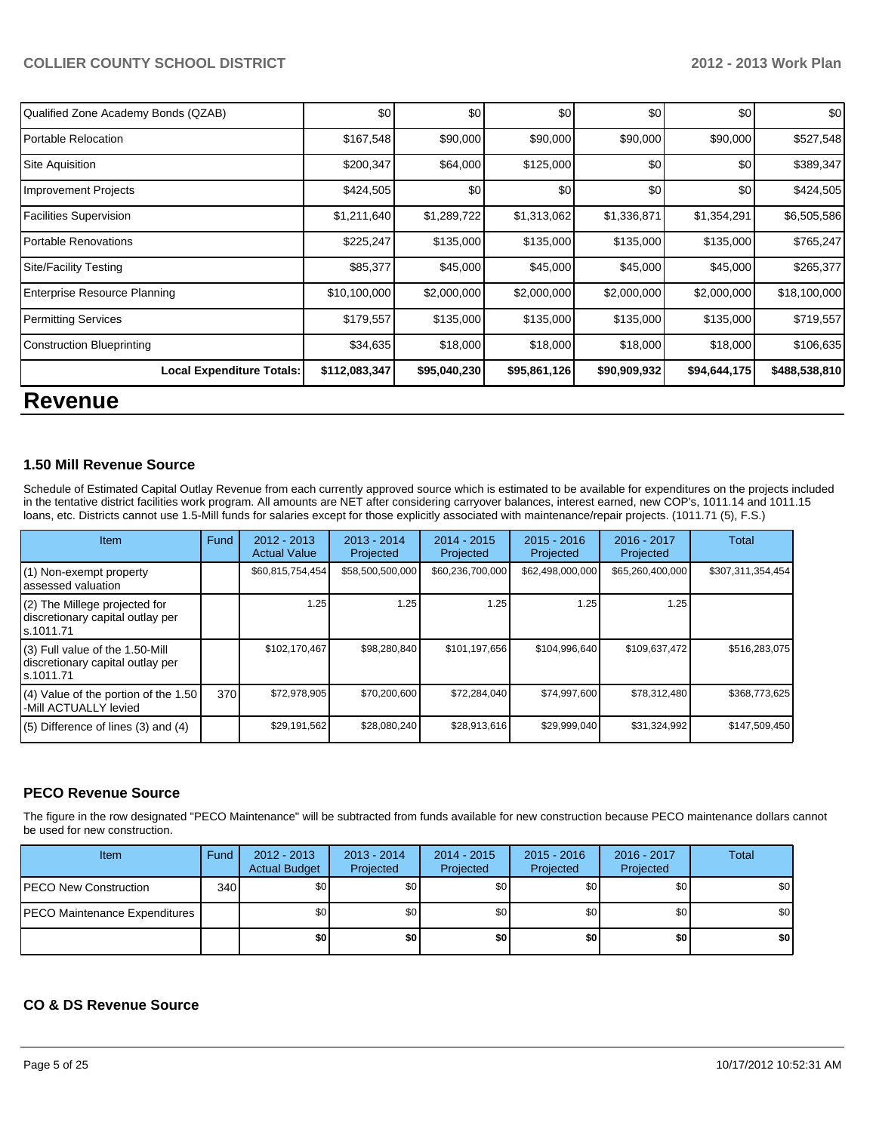| Qualified Zone Academy Bonds (QZAB) | \$0           | \$0          | \$0          | \$0          | \$0          | \$0 <sub>1</sub> |
|-------------------------------------|---------------|--------------|--------------|--------------|--------------|------------------|
| Portable Relocation                 | \$167,548     | \$90,000     | \$90,000     | \$90,000     | \$90,000     | \$527,548        |
| Site Aquisition                     | \$200,347     | \$64,000     | \$125,000    | \$0          | \$0          | \$389,347        |
| Improvement Projects                | \$424,505     | \$0          | \$0          | \$0          | \$0          | \$424,505        |
| Facilities Supervision              | \$1,211,640   | \$1,289,722  | \$1,313,062  | \$1,336,871  | \$1,354,291  | \$6,505,586      |
| <b>IPortable Renovations</b>        | \$225,247     | \$135,000    | \$135,000    | \$135,000    | \$135,000    | \$765,247        |
| Site/Facility Testing               | \$85,377      | \$45,000     | \$45,000     | \$45,000     | \$45,000     | \$265,377        |
| Enterprise Resource Planning        | \$10,100,000  | \$2,000,000  | \$2,000,000  | \$2,000,000  | \$2,000,000  | \$18,100,000     |
| Permitting Services                 | \$179,557     | \$135,000    | \$135,000    | \$135,000    | \$135,000    | \$719,557        |
| Construction Blueprinting           | \$34,635      | \$18,000     | \$18,000     | \$18,000     | \$18,000     | \$106,635        |
| <b>Local Expenditure Totals:</b>    | \$112,083,347 | \$95,040,230 | \$95,861,126 | \$90,909,932 | \$94,644,175 | \$488,538,810    |
| n.                                  |               |              |              |              |              |                  |

### **Revenue**

#### **1.50 Mill Revenue Source**

Schedule of Estimated Capital Outlay Revenue from each currently approved source which is estimated to be available for expenditures on the projects included in the tentative district facilities work program. All amounts are NET after considering carryover balances, interest earned, new COP's, 1011.14 and 1011.15 loans, etc. Districts cannot use 1.5-Mill funds for salaries except for those explicitly associated with maintenance/repair projects. (1011.71 (5), F.S.)

| Item                                                                                | Fund | $2012 - 2013$<br><b>Actual Value</b> | $2013 - 2014$<br>Projected | $2014 - 2015$<br>Projected | $2015 - 2016$<br>Projected | $2016 - 2017$<br>Projected | Total             |
|-------------------------------------------------------------------------------------|------|--------------------------------------|----------------------------|----------------------------|----------------------------|----------------------------|-------------------|
| (1) Non-exempt property<br>assessed valuation                                       |      | \$60,815,754,454                     | \$58,500,500,000           | \$60,236,700,000           | \$62,498,000,000           | \$65,260,400,000           | \$307,311,354,454 |
| $(2)$ The Millege projected for<br>discretionary capital outlay per<br>ls.1011.71   |      | 1.25                                 | 1.25                       | 1.25                       | 1.25                       | 1.25                       |                   |
| $(3)$ Full value of the 1.50-Mill<br>discretionary capital outlay per<br>ls.1011.71 |      | \$102,170,467                        | \$98,280,840               | \$101,197,656              | \$104,996,640              | \$109,637,472              | \$516,283,075     |
| $(4)$ Value of the portion of the 1.50<br>-Mill ACTUALLY levied                     | 370  | \$72,978,905                         | \$70,200,600               | \$72,284,040               | \$74,997,600               | \$78,312,480               | \$368,773,625     |
| $(5)$ Difference of lines $(3)$ and $(4)$                                           |      | \$29,191,562                         | \$28,080,240               | \$28,913,616               | \$29,999,040               | \$31,324,992               | \$147,509,450     |

#### **PECO Revenue Source**

The figure in the row designated "PECO Maintenance" will be subtracted from funds available for new construction because PECO maintenance dollars cannot be used for new construction.

| Item                                  | Fund | $2012 - 2013$<br><b>Actual Budget</b> | $2013 - 2014$<br>Projected | $2014 - 2015$<br>Projected | $2015 - 2016$<br>Projected | $2016 - 2017$<br>Projected | <b>Total</b> |
|---------------------------------------|------|---------------------------------------|----------------------------|----------------------------|----------------------------|----------------------------|--------------|
| <b>PECO New Construction</b>          | 340  | \$0 <sub>1</sub>                      | \$0                        | \$0                        | \$0                        | \$0                        | \$0          |
| <b>IPECO Maintenance Expenditures</b> |      | \$0 <sub>1</sub>                      | \$0                        | \$0                        | \$0                        | \$0                        | \$0          |
|                                       |      | \$0                                   | \$0                        | \$0                        | \$0                        | \$0                        | \$0          |

#### **CO & DS Revenue Source**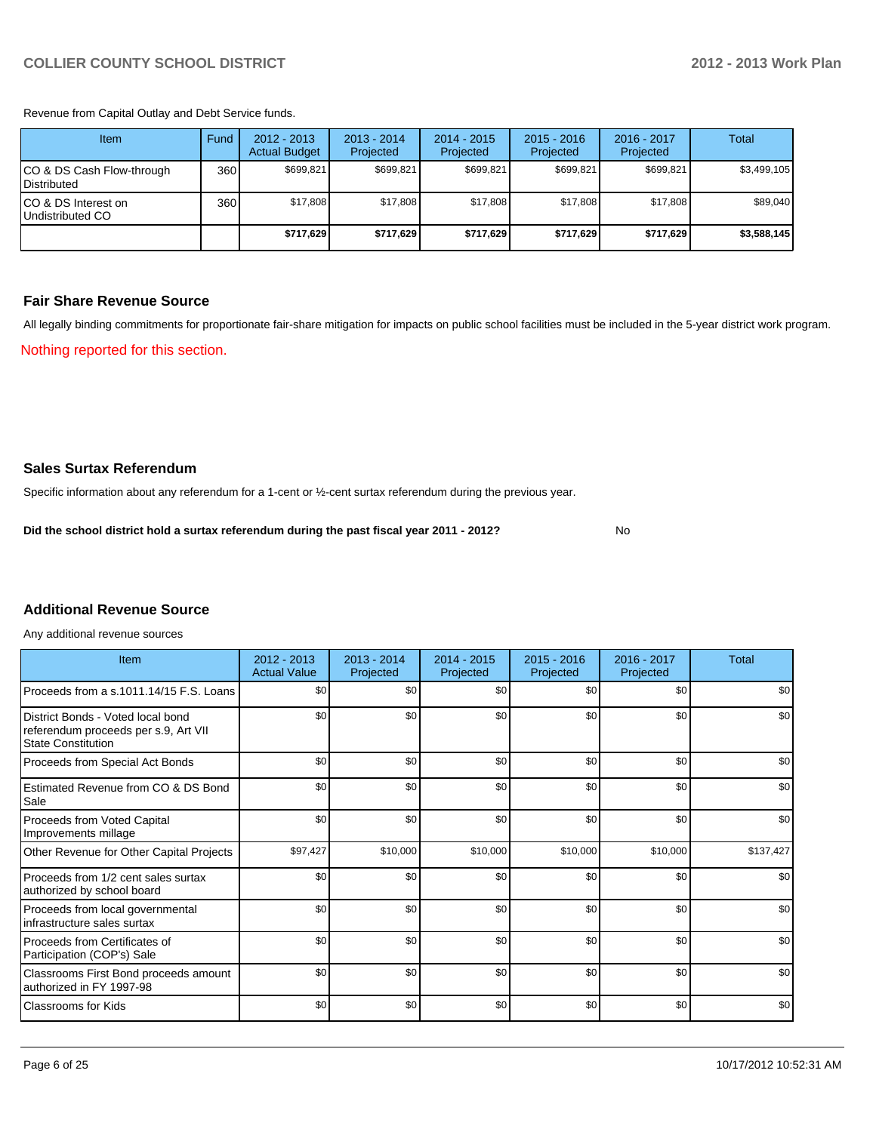Revenue from Capital Outlay and Debt Service funds.

| Item                                               | Fund | 2012 - 2013<br><b>Actual Budget</b> | $2013 - 2014$<br>Projected | 2014 - 2015<br>Projected | $2015 - 2016$<br>Projected | $2016 - 2017$<br>Projected | Total       |
|----------------------------------------------------|------|-------------------------------------|----------------------------|--------------------------|----------------------------|----------------------------|-------------|
| ICO & DS Cash Flow-through<br><b>I</b> Distributed | 360  | \$699,821                           | \$699,821                  | \$699.821                | \$699.821                  | \$699,821                  | \$3,499,105 |
| ICO & DS Interest on<br>Undistributed CO           | 360  | \$17,808                            | \$17,808                   | \$17.808                 | \$17,808                   | \$17,808                   | \$89,040    |
|                                                    |      | \$717,629                           | \$717,629                  | \$717,629                | \$717,629                  | \$717,629                  | \$3,588,145 |

#### **Fair Share Revenue Source**

Nothing reported for this section. All legally binding commitments for proportionate fair-share mitigation for impacts on public school facilities must be included in the 5-year district work program.

No

**Sales Surtax Referendum**

Specific information about any referendum for a 1-cent or ½-cent surtax referendum during the previous year.

**Did the school district hold a surtax referendum during the past fiscal year 2011 - 2012?**

#### **Additional Revenue Source**

Any additional revenue sources

| Item                                                                                                   | $2012 - 2013$<br><b>Actual Value</b> | $2013 - 2014$<br>Projected | 2014 - 2015<br>Projected | $2015 - 2016$<br>Projected | 2016 - 2017<br>Projected | <b>Total</b> |
|--------------------------------------------------------------------------------------------------------|--------------------------------------|----------------------------|--------------------------|----------------------------|--------------------------|--------------|
| Proceeds from a s.1011.14/15 F.S. Loans                                                                | \$0                                  | \$0                        | \$0                      | \$0                        | \$0                      | \$0          |
| District Bonds - Voted local bond<br>referendum proceeds per s.9, Art VII<br><b>State Constitution</b> | \$0                                  | \$0                        | \$0                      | \$0                        | \$0                      | \$0          |
| Proceeds from Special Act Bonds                                                                        | \$0                                  | \$0                        | \$0                      | \$0                        | \$0                      | \$0          |
| Estimated Revenue from CO & DS Bond<br>Sale                                                            | \$0                                  | \$0                        | \$0                      | \$0                        | \$0                      | \$0          |
| <b>Proceeds from Voted Capital</b><br>Improvements millage                                             | \$0                                  | \$0                        | \$0                      | \$0                        | \$0                      | \$0          |
| Other Revenue for Other Capital Projects                                                               | \$97,427                             | \$10,000                   | \$10,000                 | \$10,000                   | \$10,000                 | \$137,427    |
| Proceeds from 1/2 cent sales surtax<br>authorized by school board                                      | \$0                                  | \$0                        | \$0                      | \$0                        | \$0                      | \$0          |
| Proceeds from local governmental<br>infrastructure sales surtax                                        | \$0                                  | \$0                        | \$0                      | \$0                        | \$0                      | \$0          |
| Proceeds from Certificates of<br>Participation (COP's) Sale                                            | \$0                                  | \$0                        | \$0                      | \$0                        | \$0                      | \$0          |
| Classrooms First Bond proceeds amount<br>authorized in FY 1997-98                                      | \$0                                  | \$0                        | \$0                      | \$0                        | \$0                      | \$0          |
| <b>Classrooms for Kids</b>                                                                             | \$0                                  | \$0                        | \$0                      | \$0                        | \$0                      | \$0          |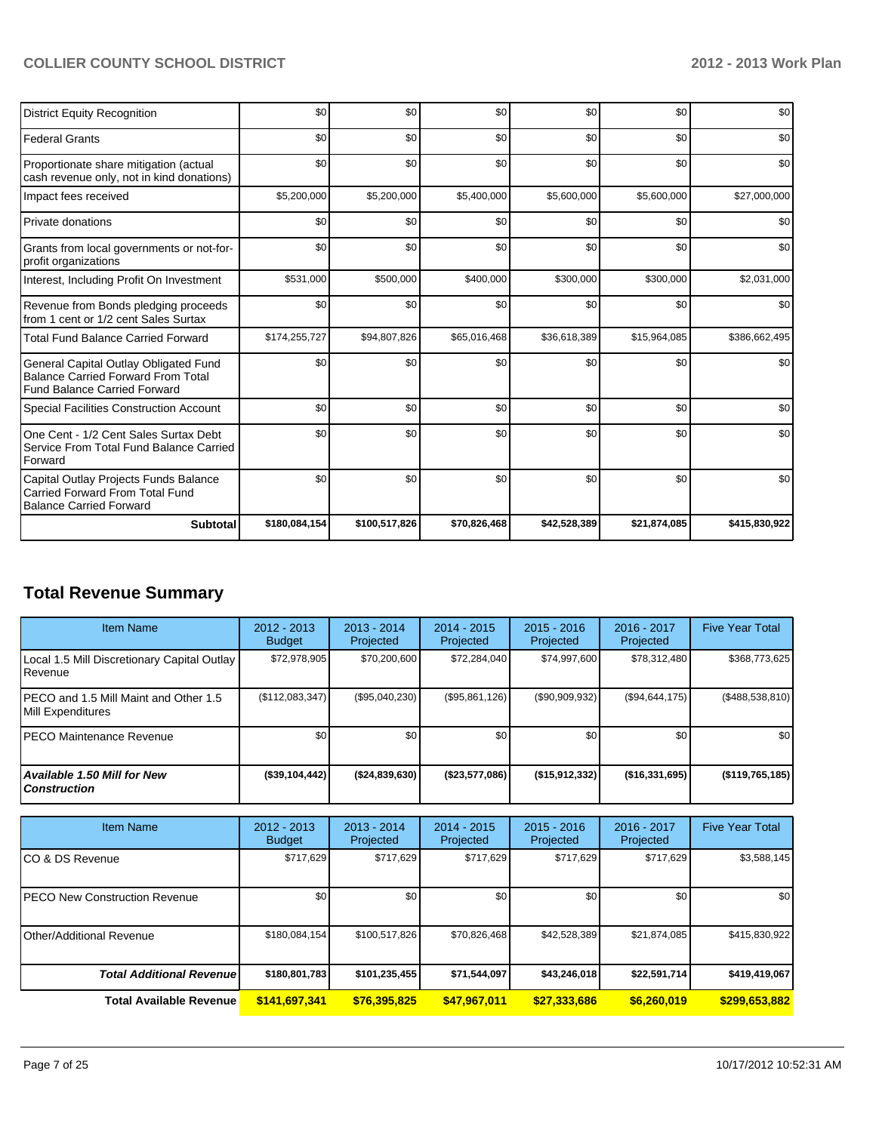| <b>District Equity Recognition</b>                                                                                        | \$0           | \$0           | \$0          | \$0          | \$0          | \$0           |
|---------------------------------------------------------------------------------------------------------------------------|---------------|---------------|--------------|--------------|--------------|---------------|
| <b>Federal Grants</b>                                                                                                     | \$0           | \$0           | \$0          | \$0          | \$0          | \$0           |
| Proportionate share mitigation (actual<br>cash revenue only, not in kind donations)                                       | \$0           | \$0           | \$0          | \$0          | \$0          | \$0           |
| Impact fees received                                                                                                      | \$5,200,000   | \$5,200,000   | \$5,400,000  | \$5,600,000  | \$5,600,000  | \$27,000,000  |
| Private donations                                                                                                         | \$0           | \$0           | \$0          | \$0          | \$0          | \$0           |
| Grants from local governments or not-for-<br>profit organizations                                                         | \$0           | \$0           | \$0          | \$0          | \$0          | \$0           |
| Interest, Including Profit On Investment                                                                                  | \$531,000     | \$500,000     | \$400,000    | \$300,000    | \$300,000    | \$2,031,000   |
| Revenue from Bonds pledging proceeds<br>from 1 cent or 1/2 cent Sales Surtax                                              | \$0           | \$0           | \$0          | \$0          | \$0          | \$0           |
| <b>Total Fund Balance Carried Forward</b>                                                                                 | \$174,255,727 | \$94,807,826  | \$65,016,468 | \$36,618,389 | \$15,964,085 | \$386,662,495 |
| General Capital Outlay Obligated Fund<br><b>Balance Carried Forward From Total</b><br><b>Fund Balance Carried Forward</b> | \$0           | \$0           | \$0          | \$0          | \$0          | \$0           |
| <b>Special Facilities Construction Account</b>                                                                            | \$0           | \$0           | \$0          | \$0          | \$0          | \$0           |
| One Cent - 1/2 Cent Sales Surtax Debt<br>Service From Total Fund Balance Carried<br>Forward                               | \$0           | \$0           | \$0          | \$0          | \$0          | \$0           |
| Capital Outlay Projects Funds Balance<br>Carried Forward From Total Fund<br><b>Balance Carried Forward</b>                | \$0           | \$0           | \$0          | \$0          | \$0          | \$0           |
| <b>Subtotal</b>                                                                                                           | \$180,084,154 | \$100,517,826 | \$70,826,468 | \$42,528,389 | \$21,874,085 | \$415,830,922 |

# **Total Revenue Summary**

| <b>Item Name</b>                                           | $2012 - 2013$<br><b>Budget</b> | $2013 - 2014$<br>Projected | $2014 - 2015$<br><b>Projected</b> | $2015 - 2016$<br>Projected | $2016 - 2017$<br>Projected | <b>Five Year Total</b> |
|------------------------------------------------------------|--------------------------------|----------------------------|-----------------------------------|----------------------------|----------------------------|------------------------|
| Local 1.5 Mill Discretionary Capital Outlay<br>Revenue     | \$72,978,905                   | \$70,200,600               | \$72,284,040                      | \$74,997,600               | \$78,312,480               | \$368,773,625          |
| PECO and 1.5 Mill Maint and Other 1.5<br>Mill Expenditures | (\$112,083,347)                | (S95.040.230)              | (S95, 861, 126)                   | (S90, 909, 932)            | (S94, 644, 175)            | (\$488,538,810)        |
| IPECO Maintenance Revenue                                  | \$0                            | \$0                        | \$0                               | \$0                        | \$0                        | \$0 <sub>1</sub>       |
| <b>Available 1.50 Mill for New</b><br><b>Construction</b>  | (\$39,104,442)                 | ( \$24, 839, 630)          | (\$23,577,086)                    | ( \$15, 912, 332)          | ( \$16, 331, 695)          | $($ \$119,765,185)     |

| <b>Item Name</b>                      | $2012 - 2013$<br><b>Budget</b> | $2013 - 2014$<br>Projected | $2014 - 2015$<br>Projected | $2015 - 2016$<br>Projected | $2016 - 2017$<br>Projected | <b>Five Year Total</b> |
|---------------------------------------|--------------------------------|----------------------------|----------------------------|----------------------------|----------------------------|------------------------|
| ICO & DS Revenue                      | \$717,629                      | \$717,629                  | \$717,629                  | \$717,629                  | \$717,629                  | \$3,588,145            |
| <b>IPECO New Construction Revenue</b> | \$0                            | \$0                        | \$0                        | \$0                        | \$0                        | \$0                    |
| <b>I</b> Other/Additional Revenue     | \$180,084,154                  | \$100,517,826              | \$70,826,468               | \$42,528,389               | \$21,874,085               | \$415,830,922          |
| <b>Total Additional Revenuel</b>      | \$180,801,783                  | \$101,235,455              | \$71,544,097               | \$43,246,018               | \$22,591,714               | \$419,419,067          |
| <b>Total Available Revenue</b>        | \$141,697,341                  | \$76,395,825               | \$47,967,011               | \$27,333,686               | \$6,260,019                | \$299,653,882          |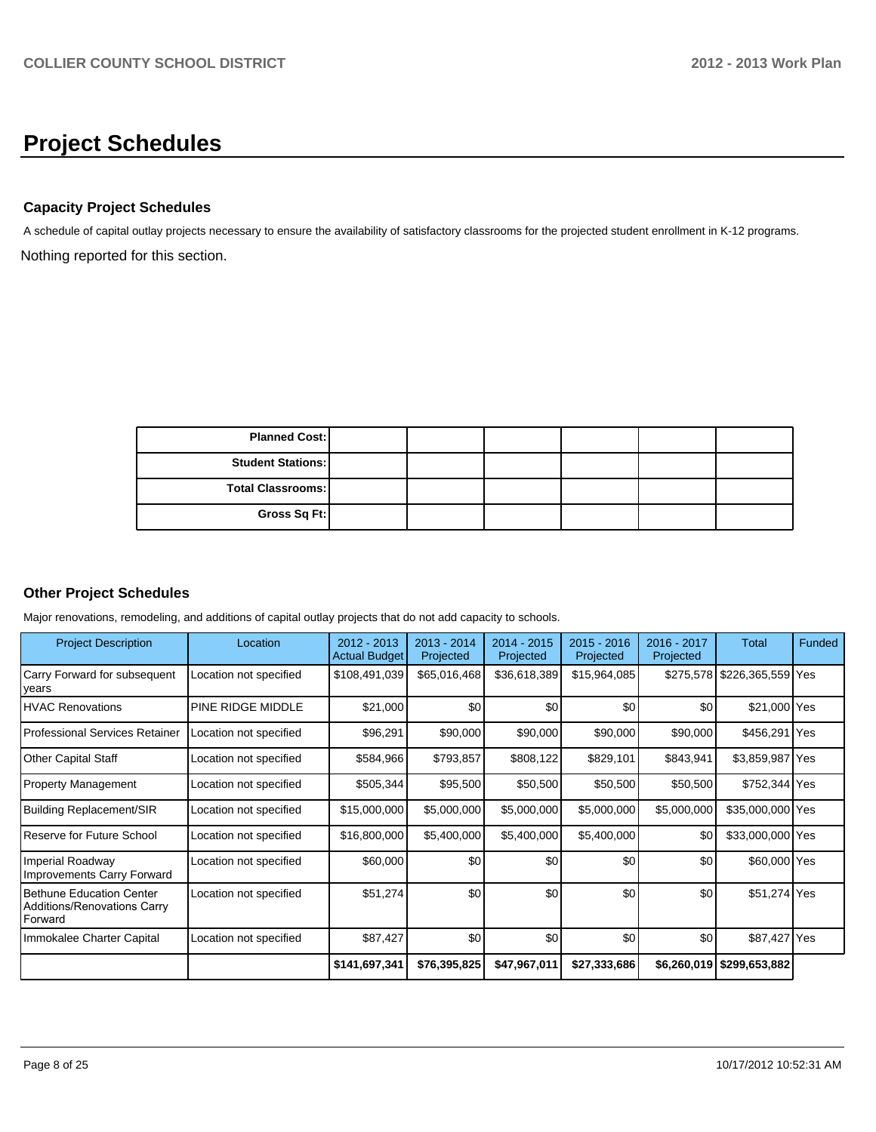# **Project Schedules**

#### **Capacity Project Schedules**

Nothing reported for this section. A schedule of capital outlay projects necessary to ensure the availability of satisfactory classrooms for the projected student enrollment in K-12 programs.

| <b>Planned Cost:</b>     |  |  |  |
|--------------------------|--|--|--|
| <b>Student Stations:</b> |  |  |  |
| <b>Total Classrooms:</b> |  |  |  |
| Gross Sq Ft:             |  |  |  |

#### **Other Project Schedules**

Major renovations, remodeling, and additions of capital outlay projects that do not add capacity to schools.

| <b>Project Description</b>                                                  | Location               | $2012 - 2013$<br><b>Actual Budget</b> | 2013 - 2014<br>Projected | 2014 - 2015<br>Projected | $2015 - 2016$<br>Projected | 2016 - 2017<br>Projected | Total                       | Funded |
|-----------------------------------------------------------------------------|------------------------|---------------------------------------|--------------------------|--------------------------|----------------------------|--------------------------|-----------------------------|--------|
| Carry Forward for subsequent<br> years                                      | Location not specified | \$108,491,039                         | \$65,016,468             | \$36,618,389             | \$15,964,085               |                          | \$275,578 \$226,365,559 Yes |        |
| HVAC Renovations                                                            | PINE RIDGE MIDDLE      | \$21,000                              | \$0                      | \$0                      | \$0                        | \$0                      | \$21,000 Yes                |        |
| l Professional Services Retainer                                            | Location not specified | \$96,291                              | \$90,000                 | \$90,000                 | \$90,000                   | \$90,000                 | \$456,291 Yes               |        |
| Other Capital Staff                                                         | Location not specified | \$584,966                             | \$793,857                | \$808,122                | \$829,101                  | \$843,941                | \$3,859,987 Yes             |        |
| Property Management                                                         | Location not specified | \$505,344                             | \$95,500                 | \$50,500                 | \$50,500                   | \$50,500                 | \$752,344 Yes               |        |
| Building Replacement/SIR                                                    | Location not specified | \$15,000,000                          | \$5,000,000              | \$5,000,000              | \$5,000,000                | \$5,000,000              | \$35,000,000 Yes            |        |
| Reserve for Future School                                                   | Location not specified | \$16,800,000                          | \$5,400,000              | \$5,400,000              | \$5,400,000                | \$0                      | \$33,000,000 Yes            |        |
| Imperial Roadway<br>Improvements Carry Forward                              | Location not specified | \$60,000                              | \$0                      | \$0                      | \$0                        | \$0                      | \$60,000 Yes                |        |
| Bethune Education Center<br>Additions/Renovations Carry<br><b>I</b> Forward | Location not specified | \$51,274                              | \$0                      | \$0                      | \$0                        | \$0                      | \$51,274 Yes                |        |
| Immokalee Charter Capital                                                   | Location not specified | \$87,427                              | \$0                      | \$0                      | \$0                        | \$0                      | \$87,427 Yes                |        |
|                                                                             |                        | \$141,697,341                         | \$76,395,825             | \$47,967,011             | \$27,333,686               | \$6,260,019              | \$299,653,882               |        |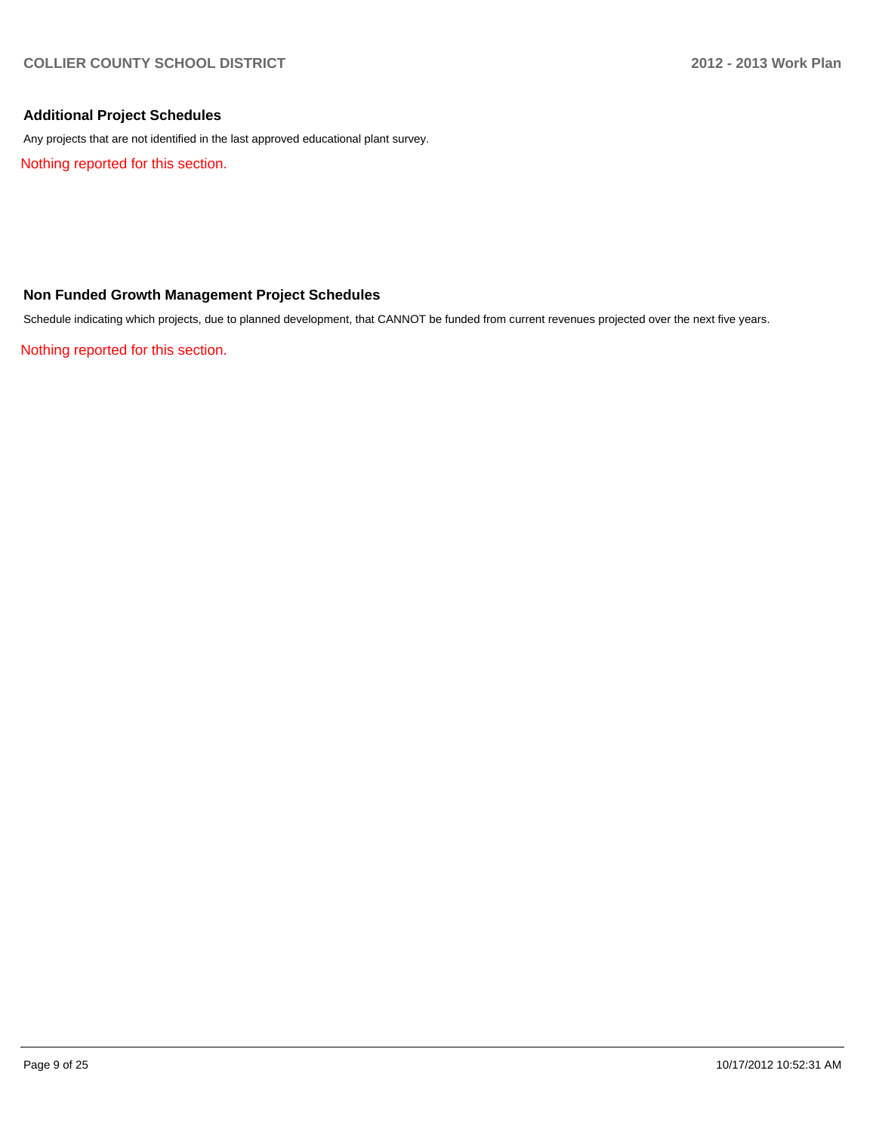#### **Additional Project Schedules**

Any projects that are not identified in the last approved educational plant survey.

Nothing reported for this section.

#### **Non Funded Growth Management Project Schedules**

Schedule indicating which projects, due to planned development, that CANNOT be funded from current revenues projected over the next five years.

Nothing reported for this section.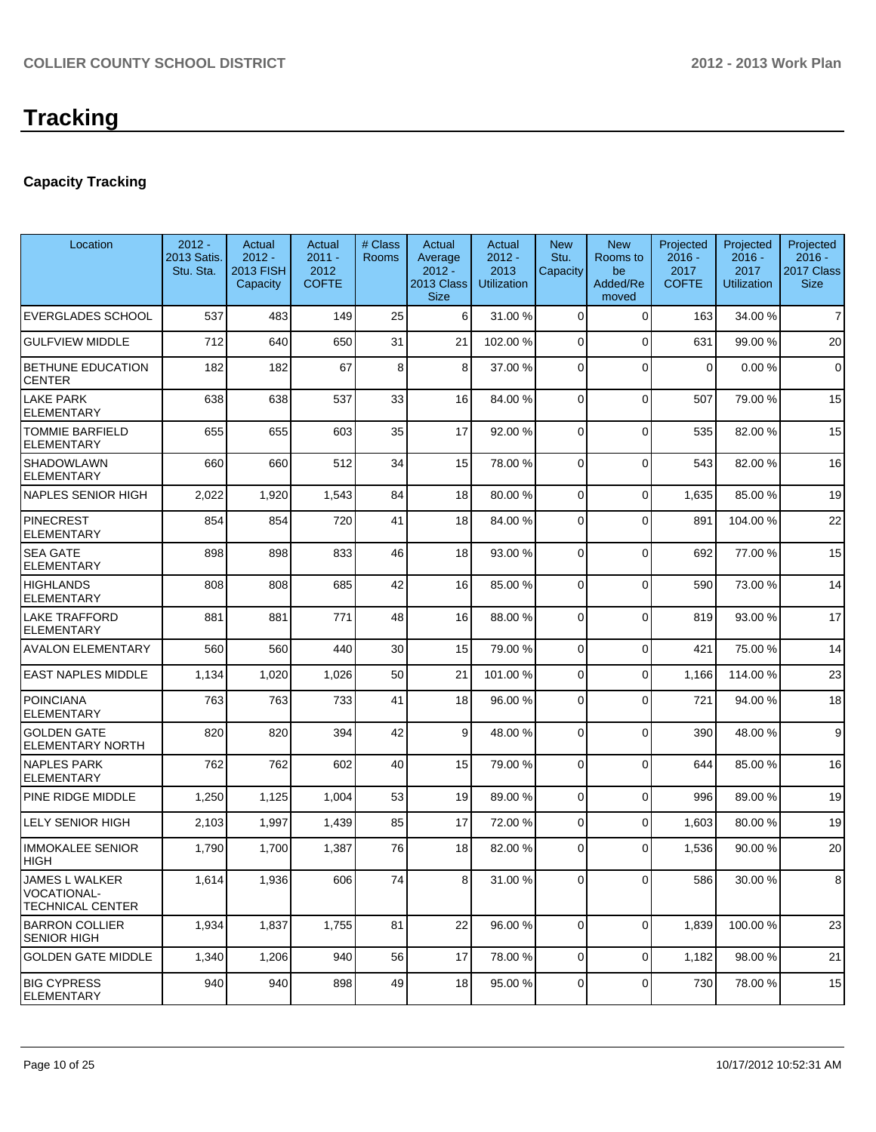### **Capacity Tracking**

| Location                                                  | $2012 -$<br>2013 Satis.<br>Stu. Sta. | Actual<br>$2012 -$<br><b>2013 FISH</b><br>Capacity | Actual<br>$2011 -$<br>2012<br><b>COFTE</b> | # Class<br><b>Rooms</b> | Actual<br>Average<br>$2012 -$<br>2013 Class<br><b>Size</b> | Actual<br>$2012 -$<br>2013<br><b>Utilization</b> | <b>New</b><br>Stu.<br>Capacity | <b>New</b><br>Rooms to<br>be<br>Added/Re<br>moved | Projected<br>$2016 -$<br>2017<br><b>COFTE</b> | Projected<br>$2016 -$<br>2017<br><b>Utilization</b> | Projected<br>$2016 -$<br>2017 Class<br><b>Size</b> |
|-----------------------------------------------------------|--------------------------------------|----------------------------------------------------|--------------------------------------------|-------------------------|------------------------------------------------------------|--------------------------------------------------|--------------------------------|---------------------------------------------------|-----------------------------------------------|-----------------------------------------------------|----------------------------------------------------|
| <b>EVERGLADES SCHOOL</b>                                  | 537                                  | 483                                                | 149                                        | 25                      | 6 <sup>1</sup>                                             | 31.00 %                                          | $\Omega$                       | $\Omega$                                          | 163                                           | 34.00 %                                             | $\overline{7}$                                     |
| <b>GULFVIEW MIDDLE</b>                                    | 712                                  | 640                                                | 650                                        | 31                      | 21                                                         | 102.00 %                                         | $\Omega$                       | $\Omega$                                          | 631                                           | 99.00 %                                             | 20                                                 |
| <b>BETHUNE EDUCATION</b><br><b>CENTER</b>                 | 182                                  | 182                                                | 67                                         | 8                       | 8                                                          | 37.00 %                                          | $\mathbf 0$                    | $\Omega$                                          | $\Omega$                                      | 0.00%                                               | $\mathbf 0$                                        |
| <b>LAKE PARK</b><br><b>ELEMENTARY</b>                     | 638                                  | 638                                                | 537                                        | 33                      | 16                                                         | 84.00 %                                          | $\mathbf 0$                    | $\Omega$                                          | 507                                           | 79.00 %                                             | 15                                                 |
| <b>TOMMIE BARFIELD</b><br><b>ELEMENTARY</b>               | 655                                  | 655                                                | 603                                        | 35                      | 17                                                         | 92.00 %                                          | $\Omega$                       | $\Omega$                                          | 535                                           | 82.00%                                              | 15                                                 |
| <b>SHADOWLAWN</b><br><b>ELEMENTARY</b>                    | 660                                  | 660                                                | 512                                        | 34                      | 15                                                         | 78.00 %                                          | $\Omega$                       | $\Omega$                                          | 543                                           | 82.00%                                              | 16                                                 |
| <b>NAPLES SENIOR HIGH</b>                                 | 2,022                                | 1,920                                              | 1,543                                      | 84                      | 18                                                         | 80.00 %                                          | $\Omega$                       | $\Omega$                                          | 1,635                                         | 85.00 %                                             | 19                                                 |
| PINECREST<br><b>ELEMENTARY</b>                            | 854                                  | 854                                                | 720                                        | 41                      | 18                                                         | 84.00 %                                          | $\mathbf 0$                    | $\Omega$                                          | 891                                           | 104.00%                                             | 22                                                 |
| <b>SEA GATE</b><br><b>ELEMENTARY</b>                      | 898                                  | 898                                                | 833                                        | 46                      | 18                                                         | 93.00 %                                          | $\Omega$                       | $\Omega$                                          | 692                                           | 77.00 %                                             | 15                                                 |
| <b>HIGHLANDS</b><br><b>ELEMENTARY</b>                     | 808                                  | 808                                                | 685                                        | 42                      | 16                                                         | 85.00 %                                          | $\Omega$                       | $\Omega$                                          | 590                                           | 73.00 %                                             | 14                                                 |
| <b>LAKE TRAFFORD</b><br><b>ELEMENTARY</b>                 | 881                                  | 881                                                | 771                                        | 48                      | 16                                                         | 88.00 %                                          | $\overline{0}$                 | $\Omega$                                          | 819                                           | 93.00 %                                             | 17                                                 |
| <b>AVALON ELEMENTARY</b>                                  | 560                                  | 560                                                | 440                                        | 30                      | 15                                                         | 79.00 %                                          | $\Omega$                       | $\Omega$                                          | 421                                           | 75.00 %                                             | 14                                                 |
| <b>EAST NAPLES MIDDLE</b>                                 | 1,134                                | 1,020                                              | 1,026                                      | 50                      | 21                                                         | 101.00%                                          | $\mathbf 0$                    | $\Omega$                                          | 1,166                                         | 114.00%                                             | 23                                                 |
| <b>POINCIANA</b><br><b>ELEMENTARY</b>                     | 763                                  | 763                                                | 733                                        | 41                      | 18                                                         | 96.00 %                                          | $\mathbf 0$                    | $\Omega$                                          | 721                                           | 94.00%                                              | 18                                                 |
| <b>GOLDEN GATE</b><br>ELEMENTARY NORTH                    | 820                                  | 820                                                | 394                                        | 42                      | 9                                                          | 48.00 %                                          | $\mathbf 0$                    | $\Omega$                                          | 390                                           | 48.00 %                                             | 9                                                  |
| INAPLES PARK<br><b>ELEMENTARY</b>                         | 762                                  | 762                                                | 602                                        | 40                      | 15                                                         | 79.00 %                                          | $\Omega$                       | $\Omega$                                          | 644                                           | 85.00 %                                             | 16                                                 |
| PINE RIDGE MIDDLE                                         | 1,250                                | 1,125                                              | 1,004                                      | 53                      | 19                                                         | 89.00 %                                          | $\mathbf 0$                    | $\Omega$                                          | 996                                           | 89.00%                                              | 19                                                 |
| <b>LELY SENIOR HIGH</b>                                   | 2,103                                | 1,997                                              | 1,439                                      | 85                      | 17                                                         | 72.00 %                                          | $\mathbf 0$                    | $\Omega$                                          | 1,603                                         | 80.00 %                                             | 19                                                 |
| <b>IMMOKALEE SENIOR</b><br><b>HIGH</b>                    | 1,790                                | 1,700                                              | 1,387                                      | 76                      | 18                                                         | 82.00 %                                          | $\mathbf 0$                    | $\Omega$                                          | 1,536                                         | 90.00%                                              | 20                                                 |
| JAMES L WALKER<br>IVOCATIONAL-<br><b>TECHNICAL CENTER</b> | 1,614                                | 1,936                                              | 606                                        | 74                      | 8                                                          | 31.00 %                                          | $\overline{0}$                 | $\overline{0}$                                    | 586                                           | 30.00 %                                             | 8                                                  |
| <b>BARRON COLLIER</b><br><b>SENIOR HIGH</b>               | 1,934                                | 1,837                                              | 1,755                                      | 81                      | 22                                                         | 96.00 %                                          | $\overline{0}$                 | $\Omega$                                          | 1,839                                         | 100.00%                                             | 23                                                 |
| <b>GOLDEN GATE MIDDLE</b>                                 | 1,340                                | 1,206                                              | 940                                        | 56                      | 17                                                         | 78.00 %                                          | $\mathbf 0$                    | $\overline{0}$                                    | 1,182                                         | 98.00%                                              | 21                                                 |
| <b>BIG CYPRESS</b><br>ELEMENTARY                          | 940                                  | 940                                                | 898                                        | 49                      | 18                                                         | 95.00 %                                          | 0                              | $\overline{0}$                                    | 730                                           | 78.00%                                              | 15                                                 |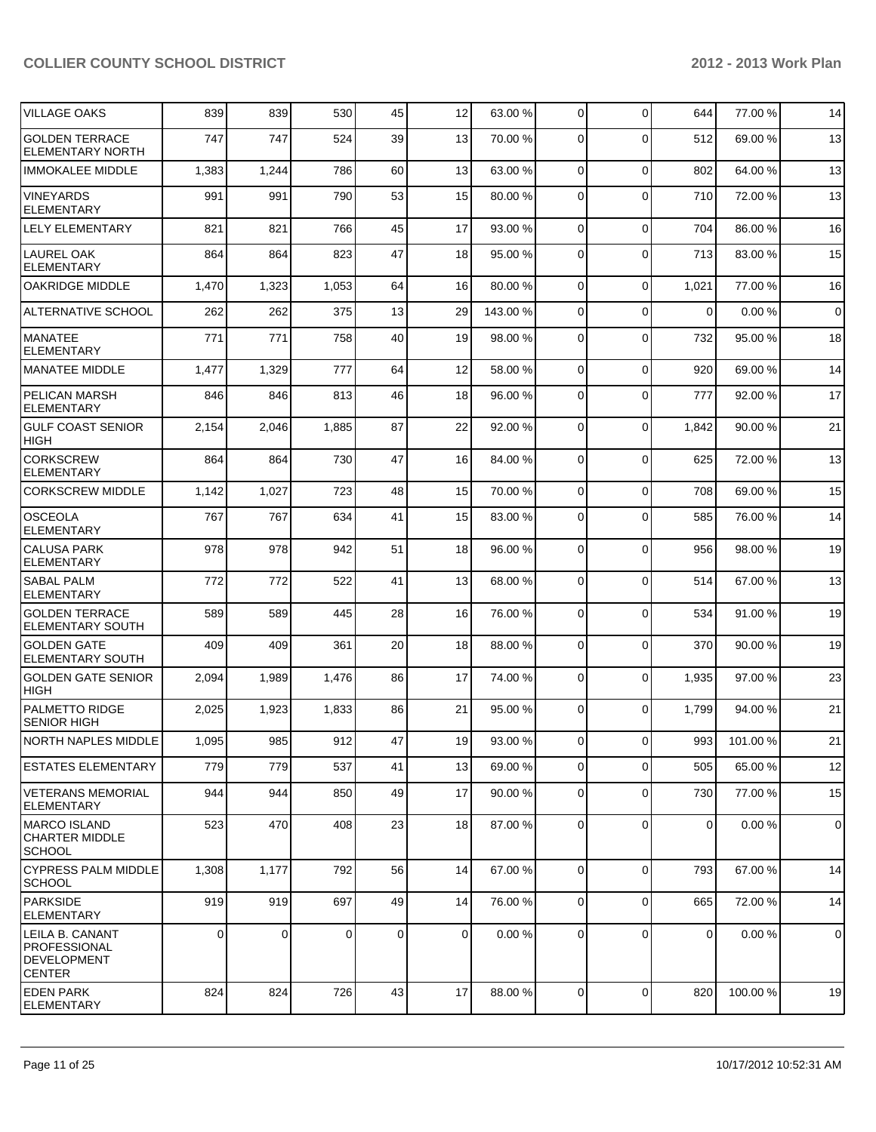| <b>VILLAGE OAKS</b>                                                    | 839         | 839   | 530   | 45          | 12             | 63.00 %  | $\overline{0}$ | 0            | 644         | 77.00 % | 14             |
|------------------------------------------------------------------------|-------------|-------|-------|-------------|----------------|----------|----------------|--------------|-------------|---------|----------------|
| <b>GOLDEN TERRACE</b><br><b>ELEMENTARY NORTH</b>                       | 747         | 747   | 524   | 39          | 13             | 70.00 %  | $\Omega$       | $\mathbf{0}$ | 512         | 69.00 % | 13             |
| <b>IMMOKALEE MIDDLE</b>                                                | 1,383       | 1,244 | 786   | 60          | 13             | 63.00 %  | $\overline{0}$ | $\pmb{0}$    | 802         | 64.00%  | 13             |
| <b>VINEYARDS</b><br><b>ELEMENTARY</b>                                  | 991         | 991   | 790   | 53          | 15             | 80.00 %  | $\overline{0}$ | $\mathbf 0$  | 710         | 72.00 % | 13             |
| <b>LELY ELEMENTARY</b>                                                 | 821         | 821   | 766   | 45          | 17             | 93.00 %  | $\Omega$       | $\Omega$     | 704         | 86.00 % | 16             |
| LAUREL OAK<br><b>ELEMENTARY</b>                                        | 864         | 864   | 823   | 47          | 18             | 95.00 %  | $\Omega$       | $\mathbf 0$  | 713         | 83.00 % | 15             |
| <b>OAKRIDGE MIDDLE</b>                                                 | 1,470       | 1,323 | 1,053 | 64          | 16             | 80.00 %  | $\overline{0}$ | 0            | 1,021       | 77.00 % | 16             |
| <b>ALTERNATIVE SCHOOL</b>                                              | 262         | 262   | 375   | 13          | 29             | 143.00 % | $\Omega$       | $\mathbf{0}$ | $\mathbf 0$ | 0.00%   | $\overline{0}$ |
| <b>MANATEE</b><br><b>ELEMENTARY</b>                                    | 771         | 771   | 758   | 40          | 19             | 98.00 %  | $\mathbf 0$    | 0            | 732         | 95.00 % | 18             |
| <b>MANATEE MIDDLE</b>                                                  | 1,477       | 1,329 | 777   | 64          | 12             | 58.00 %  | $\Omega$       | $\mathbf 0$  | 920         | 69.00 % | 14             |
| <b>PELICAN MARSH</b><br><b>ELEMENTARY</b>                              | 846         | 846   | 813   | 46          | 18             | 96.00 %  | $\Omega$       | 0            | 777         | 92.00 % | 17             |
| <b>GULF COAST SENIOR</b><br><b>HIGH</b>                                | 2,154       | 2,046 | 1,885 | 87          | 22             | 92.00 %  | $\Omega$       | $\mathbf 0$  | 1,842       | 90.00%  | 21             |
| <b>CORKSCREW</b><br><b>ELEMENTARY</b>                                  | 864         | 864   | 730   | 47          | 16             | 84.00 %  | $\Omega$       | $\Omega$     | 625         | 72.00 % | 13             |
| <b>CORKSCREW MIDDLE</b>                                                | 1,142       | 1,027 | 723   | 48          | 15             | 70.00 %  | $\overline{0}$ | 0            | 708         | 69.00%  | 15             |
| <b>OSCEOLA</b><br><b>ELEMENTARY</b>                                    | 767         | 767   | 634   | 41          | 15             | 83.00 %  | $\Omega$       | $\Omega$     | 585         | 76.00%  | 14             |
| <b>CALUSA PARK</b><br><b>ELEMENTARY</b>                                | 978         | 978   | 942   | 51          | 18             | 96.00 %  | $\Omega$       | $\mathbf 0$  | 956         | 98.00 % | 19             |
| <b>SABAL PALM</b><br><b>ELEMENTARY</b>                                 | 772         | 772   | 522   | 41          | 13             | 68.00 %  | $\Omega$       | $\mathbf 0$  | 514         | 67.00 % | 13             |
| <b>GOLDEN TERRACE</b><br>ELEMENTARY SOUTH                              | 589         | 589   | 445   | 28          | 16             | 76.00 %  | $\Omega$       | $\Omega$     | 534         | 91.00%  | 19             |
| <b>GOLDEN GATE</b><br><b>ELEMENTARY SOUTH</b>                          | 409         | 409   | 361   | 20          | 18             | 88.00 %  | $\Omega$       | $\mathbf 0$  | 370         | 90.00 % | 19             |
| <b>GOLDEN GATE SENIOR</b><br><b>HIGH</b>                               | 2,094       | 1,989 | 1,476 | 86          | 17             | 74.00 %  | $\Omega$       | $\mathbf 0$  | 1,935       | 97.00 % | 23             |
| <b>PALMETTO RIDGE</b><br>SENIOR HIGH                                   | 2,025       | 1,923 | 1,833 | 86          | 21             | 95.00 %  | $\Omega$       | 0            | 1,799       | 94.00 % | 21             |
| NORTH NAPLES MIDDLE                                                    | 1,095       | 985   | 912   | 47          | 19             | 93.00 %  | $\Omega$       | $\Omega$     | 993         | 101.00% | 21             |
| <b>ESTATES ELEMENTARY</b>                                              | 779         | 779   | 537   | 41          | 13             | 69.00 %  | $\overline{0}$ | $\Omega$     | 505         | 65.00 % | 12             |
| <b>VETERANS MEMORIAL</b><br><b>ELEMENTARY</b>                          | 944         | 944   | 850   | 49          | 17             | 90.00 %  | $\overline{0}$ | 0            | 730         | 77.00 % | 15             |
| <b>MARCO ISLAND</b><br><b>CHARTER MIDDLE</b><br><b>SCHOOL</b>          | 523         | 470   | 408   | 23          | 18             | 87.00 %  | $\overline{0}$ | 0            | $\mathbf 0$ | 0.00%   | $\overline{0}$ |
| <b>CYPRESS PALM MIDDLE</b><br><b>SCHOOL</b>                            | 1,308       | 1,177 | 792   | 56          | 14             | 67.00 %  | $\overline{0}$ | $\mathbf 0$  | 793         | 67.00 % | 14             |
| PARKSIDE<br><b>ELEMENTARY</b>                                          | 919         | 919   | 697   | 49          | 14             | 76.00 %  | $\overline{0}$ | 0            | 665         | 72.00 % | 14             |
| LEILA B. CANANT<br>PROFESSIONAL<br><b>DEVELOPMENT</b><br><b>CENTER</b> | $\mathbf 0$ | 0     | 0     | $\mathbf 0$ | $\overline{0}$ | 0.00%    | $\overline{0}$ | 0            | $\mathbf 0$ | 0.00%   | $\overline{0}$ |
| <b>EDEN PARK</b><br>ELEMENTARY                                         | 824         | 824   | 726   | 43          | 17             | 88.00 %  | $\overline{0}$ | $\mathbf 0$  | 820         | 100.00% | 19             |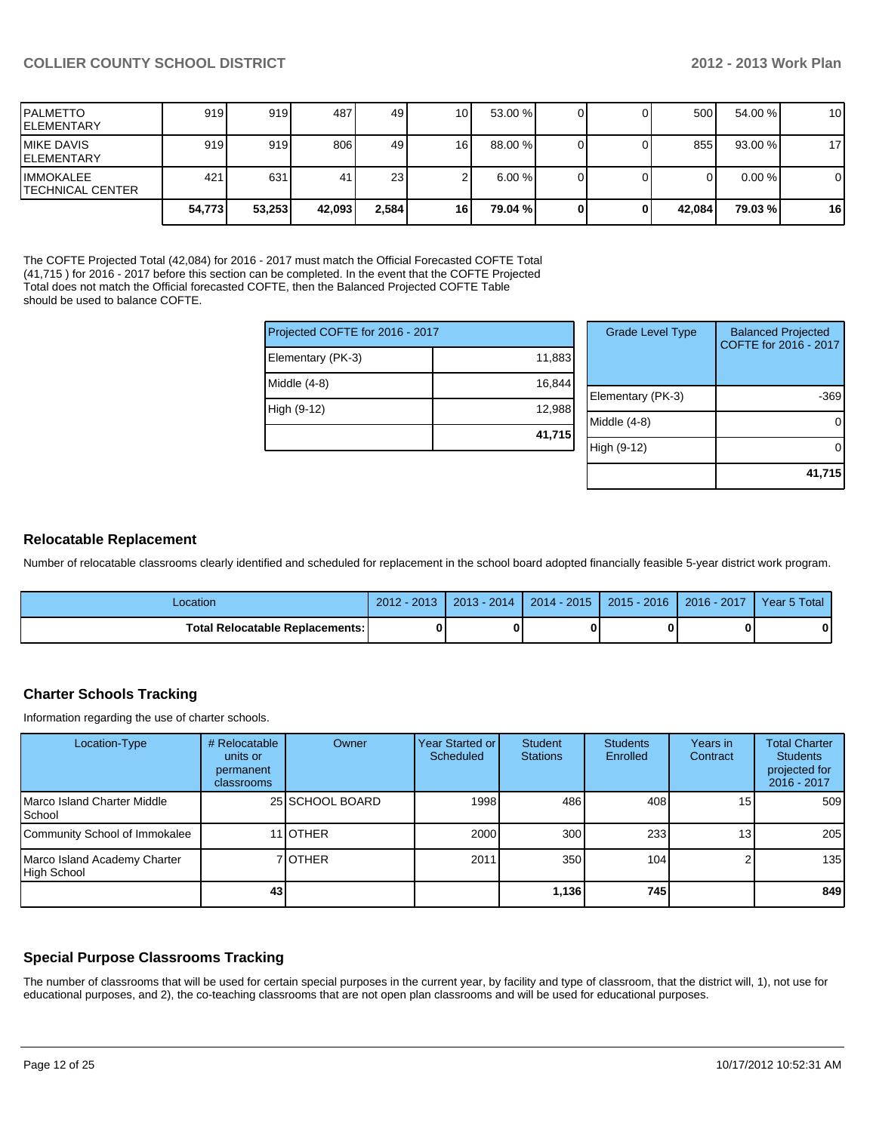**41,715**

| PALMETTO<br>IELEMENTARY                      | 919    | 919    | 487    | 49    | 10 I | 53.00 %   |   | 500    | 54.00 %   | 10 <sup>1</sup> |
|----------------------------------------------|--------|--------|--------|-------|------|-----------|---|--------|-----------|-----------------|
| <b>IMIKE DAVIS</b><br>IELEMENTARY            | 919    | 919    | 806    | 49    | 16   | 88.00 %   |   | 855    | 93.00%    | 17              |
| <b>IIMMOKALEE</b><br><b>TECHNICAL CENTER</b> | 421    | 631    | 41     | 23    |      | $6.00 \%$ |   | 0      | $0.00 \%$ | $\overline{0}$  |
|                                              | 54.773 | 53,253 | 42,093 | 2,584 | 16   | 79.04 %   | 0 | 42.084 | 79.03 %   | 16              |

The COFTE Projected Total (42,084) for 2016 - 2017 must match the Official Forecasted COFTE Total (41,715 ) for 2016 - 2017 before this section can be completed. In the event that the COFTE Projected Total does not match the Official forecasted COFTE, then the Balanced Projected COFTE Table should be used to balance COFTE.

| Projected COFTE for 2016 - 2017 |        | <b>Grade Level Type</b> | <b>Balanced Projected</b><br>COFTE for 2016 - 2017 |
|---------------------------------|--------|-------------------------|----------------------------------------------------|
| Elementary (PK-3)               | 11,883 |                         |                                                    |
| Middle (4-8)                    | 16,844 |                         |                                                    |
|                                 |        | Elementary (PK-3)       | $-369$                                             |
| High (9-12)                     | 12,988 |                         |                                                    |
|                                 |        | Middle (4-8)            | 0                                                  |
|                                 | 41,715 |                         |                                                    |
|                                 |        | High (9-12)             | 0                                                  |
|                                 |        |                         |                                                    |

#### **Relocatable Replacement**

Number of relocatable classrooms clearly identified and scheduled for replacement in the school board adopted financially feasible 5-year district work program.

| Location                                 | $2012 - 2013$ | $2013 - 2014$ | $2014 - 2015$ | $ 2015 - 2016 $ | $2016 - 2017$ | Year 5 Total |
|------------------------------------------|---------------|---------------|---------------|-----------------|---------------|--------------|
| <b>Total Relocatable Replacements: I</b> | Λ             |               | 0             |                 |               |              |

#### **Charter Schools Tracking**

Information regarding the use of charter schools.

| Location-Type                               | # Relocatable<br>units or<br>permanent<br>classrooms | Owner            | Year Started or I<br>Scheduled | Student<br><b>Stations</b> | <b>Students</b><br>Enrolled | Years in<br>Contract | <b>Total Charter</b><br><b>Students</b><br>projected for<br>2016 - 2017 |
|---------------------------------------------|------------------------------------------------------|------------------|--------------------------------|----------------------------|-----------------------------|----------------------|-------------------------------------------------------------------------|
| Marco Island Charter Middle<br>l School     |                                                      | 25 SCHOOL BOARD  | 1998                           | 486                        | 408                         | 15                   | 509                                                                     |
| Community School of Immokalee               |                                                      | 11 <b>JOTHER</b> | 2000                           | 300 <sub>l</sub>           | 233                         | 13 <sub>l</sub>      | 205                                                                     |
| Marco Island Academy Charter<br>High School |                                                      | 7 IOTHER         | 2011                           | 350 <sub>1</sub>           | 104                         |                      | 135                                                                     |
|                                             | 43                                                   |                  |                                | 1,136                      | 745                         |                      | 849                                                                     |

#### **Special Purpose Classrooms Tracking**

The number of classrooms that will be used for certain special purposes in the current year, by facility and type of classroom, that the district will, 1), not use for educational purposes, and 2), the co-teaching classrooms that are not open plan classrooms and will be used for educational purposes.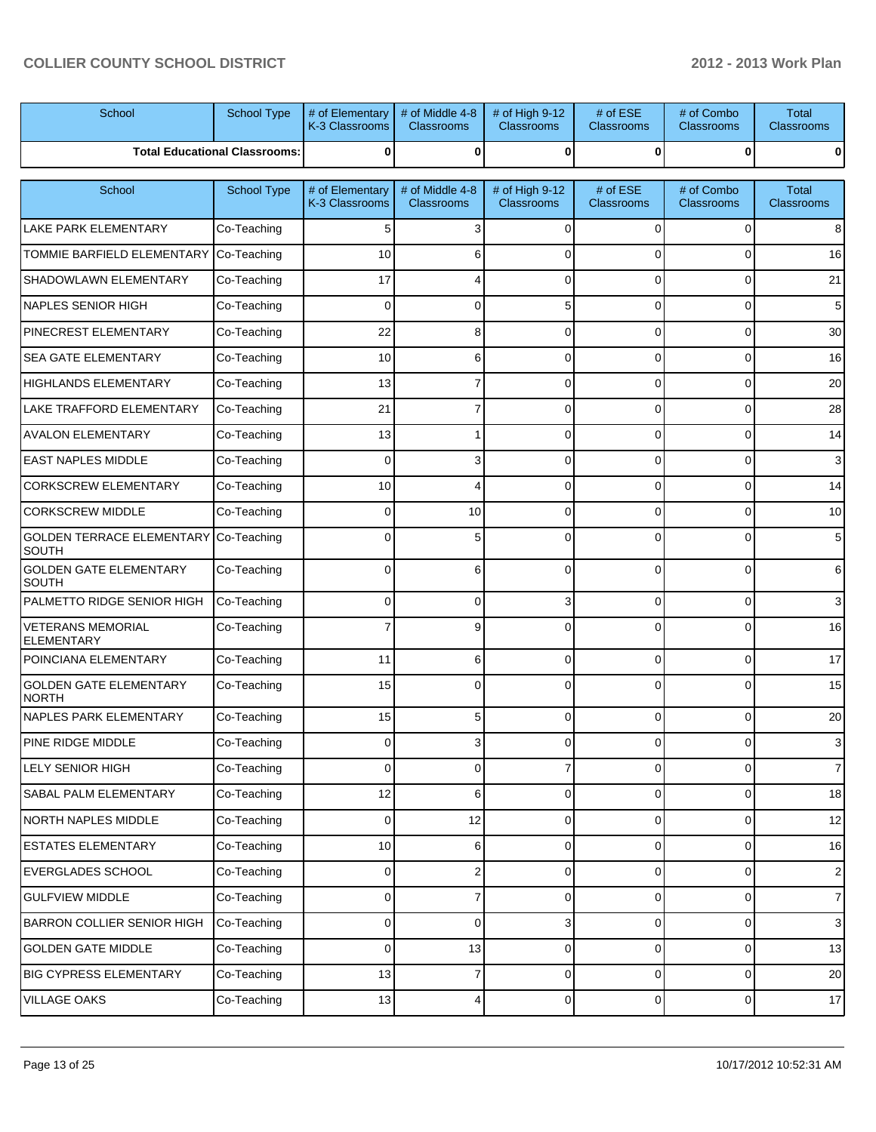| School                                        | School Type                          | # of Elementary<br>K-3 Classrooms | # of Middle 4-8<br><b>Classrooms</b> | # of High 9-12<br>Classrooms        | # of ESE<br><b>Classrooms</b> | # of Combo<br>Classrooms        | <b>Total</b><br><b>Classrooms</b> |
|-----------------------------------------------|--------------------------------------|-----------------------------------|--------------------------------------|-------------------------------------|-------------------------------|---------------------------------|-----------------------------------|
|                                               | <b>Total Educational Classrooms:</b> | 0                                 | 0                                    | 0                                   | $\bf{0}$                      | 0                               |                                   |
| School                                        | School Type                          | # of Elementary<br>K-3 Classrooms | # of Middle 4-8<br><b>Classrooms</b> | # of High 9-12<br><b>Classrooms</b> | # of ESE<br><b>Classrooms</b> | # of Combo<br><b>Classrooms</b> | Total<br><b>Classrooms</b>        |
| <b>LAKE PARK ELEMENTARY</b>                   | Co-Teaching                          | 5                                 | 3                                    | 0                                   | $\Omega$                      | 0                               | 8                                 |
| <b>TOMMIE BARFIELD ELEMENTARY</b>             | Co-Teaching                          | 10                                | 6                                    | 0                                   | $\Omega$                      | 0                               | 16                                |
| <b>SHADOWLAWN ELEMENTARY</b>                  | Co-Teaching                          | 17                                |                                      | 0                                   | $\Omega$                      | 0                               | 21                                |
| NAPLES SENIOR HIGH                            | Co-Teaching                          | $\Omega$                          | $\Omega$                             | 5                                   | $\Omega$                      | 0                               | 5                                 |
| <b>PINECREST ELEMENTARY</b>                   | Co-Teaching                          | 22                                | 8                                    | 0                                   | $\Omega$                      | 0                               | 30                                |
| <b>SEA GATE ELEMENTARY</b>                    | Co-Teaching                          | 10                                | 6                                    | 0                                   | $\Omega$                      | 0                               | 16                                |
| <b>HIGHLANDS ELEMENTARY</b>                   | Co-Teaching                          | 13                                | 7                                    | 0                                   | $\Omega$                      | 0                               | 20                                |
| <b>LAKE TRAFFORD ELEMENTARY</b>               | Co-Teaching                          | 21                                | 7                                    | 0                                   | $\Omega$                      | 0                               | 28                                |
| <b>AVALON ELEMENTARY</b>                      | Co-Teaching                          | 13                                |                                      | 0                                   | $\Omega$                      | 0                               | 14                                |
| <b>EAST NAPLES MIDDLE</b>                     | Co-Teaching                          | $\Omega$                          | 3                                    | 0                                   | $\Omega$                      | 0                               | 3                                 |
| <b>CORKSCREW ELEMENTARY</b>                   | Co-Teaching                          | 10                                |                                      | 0                                   | $\Omega$                      | 0                               | 14                                |
| <b>CORKSCREW MIDDLE</b>                       | Co-Teaching                          | $\mathbf 0$                       | 10                                   | 0                                   | $\Omega$                      | 0                               | 10                                |
| <b>GOLDEN TERRACE ELEMENTARY</b><br>SOUTH     | Co-Teaching                          | $\Omega$                          | 5                                    | 0                                   | $\Omega$                      | 0                               | 5                                 |
| <b>GOLDEN GATE ELEMENTARY</b><br>SOUTH        | Co-Teaching                          | $\Omega$                          | 6                                    | 0                                   | $\Omega$                      | $\Omega$                        | 6                                 |
| PALMETTO RIDGE SENIOR HIGH                    | Co-Teaching                          | 0                                 | 0                                    | 3                                   | $\Omega$                      | 0                               | 3                                 |
| <b>VETERANS MEMORIAL</b><br><b>ELEMENTARY</b> | Co-Teaching                          |                                   | 9                                    | 0                                   | $\Omega$                      | 0                               | 16                                |
| POINCIANA ELEMENTARY                          | Co-Teaching                          | 11                                | 6                                    | 0                                   | $\Omega$                      | $\overline{0}$                  | 17                                |
| <b>GOLDEN GATE ELEMENTARY</b><br><b>NORTH</b> | Co-Teaching                          | 15                                | $\Omega$                             | 0                                   | $\Omega$                      | $\Omega$                        | 15                                |
| NAPLES PARK ELEMENTARY                        | Co-Teaching                          | 15                                | 5                                    | 0                                   | $\Omega$                      | $\overline{0}$                  | 20                                |
| PINE RIDGE MIDDLE                             | Co-Teaching                          | 0                                 |                                      | v                                   | υ                             |                                 | 3                                 |
| <b>LELY SENIOR HIGH</b>                       | Co-Teaching                          | $\Omega$                          | 0                                    | $\overline{7}$                      | $\Omega$                      | $\overline{0}$                  | $\overline{7}$                    |
| SABAL PALM ELEMENTARY                         | Co-Teaching                          | 12                                | 6                                    | 0                                   | $\mathbf 0$                   | $\overline{0}$                  | 18                                |
| NORTH NAPLES MIDDLE                           | Co-Teaching                          | $\mathbf 0$                       | 12                                   | 0                                   | 0                             | 0                               | 12                                |
| <b>ESTATES ELEMENTARY</b>                     | Co-Teaching                          | 10                                | 6                                    | 0                                   | $\mathbf 0$                   | 0                               | 16                                |
| <b>EVERGLADES SCHOOL</b>                      | Co-Teaching                          | $\mathbf 0$                       | 2                                    | 0                                   | $\mathbf 0$                   | 0                               | $\mathbf{2}$                      |
| <b>GULFVIEW MIDDLE</b>                        | Co-Teaching                          | $\mathbf 0$                       | 7                                    | 0                                   | $\mathbf 0$                   | $\overline{0}$                  | $\overline{7}$                    |
| <b>BARRON COLLIER SENIOR HIGH</b>             | Co-Teaching                          | $\mathbf 0$                       | 0                                    | $3\vert$                            | 0                             | 0                               | $\mathbf{3}$                      |
| <b>GOLDEN GATE MIDDLE</b>                     | Co-Teaching                          | $\mathbf 0$                       | 13                                   | 0                                   | $\mathbf 0$                   | 0                               | 13                                |
| <b>BIG CYPRESS ELEMENTARY</b>                 | Co-Teaching                          | 13                                | 7                                    | 0                                   | 0                             | 0                               | 20                                |
| VILLAGE OAKS                                  | Co-Teaching                          | 13                                | 4                                    | $\overline{0}$                      | 0                             | 0                               | $17 \overline{ }$                 |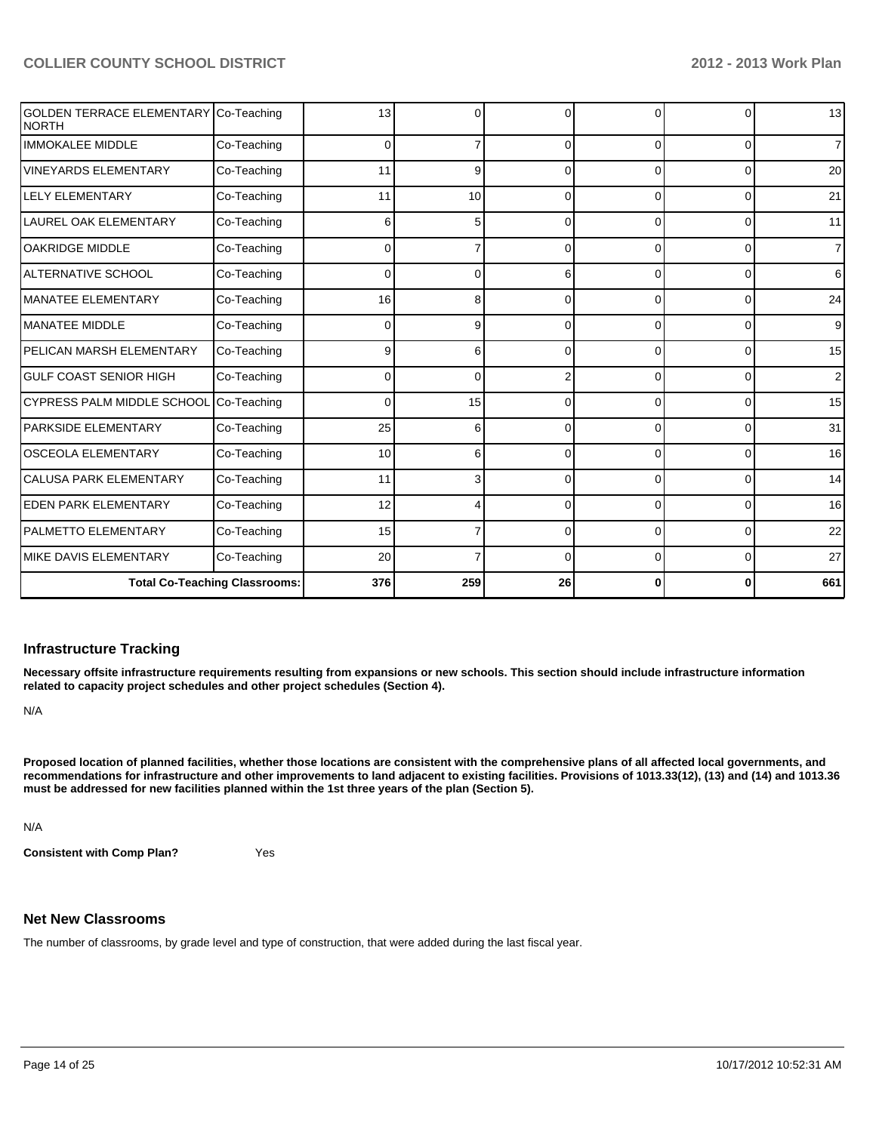| GOLDEN TERRACE ELEMENTARY Co-Teaching<br>NORTH |                                      | 13       | 0   | U        | <sup>0</sup> | <sup>0</sup> | 13              |
|------------------------------------------------|--------------------------------------|----------|-----|----------|--------------|--------------|-----------------|
| <b>IMMOKALEE MIDDLE</b>                        | Co-Teaching                          | $\Omega$ | 7   | 0        | $\Omega$     | 0            | $\overline{7}$  |
| <b>VINEYARDS ELEMENTARY</b>                    | Co-Teaching                          | 11       | 9   | 0        | 0            | $\Omega$     | 20              |
| <b>LELY ELEMENTARY</b>                         | Co-Teaching                          | 11       | 10  | C        | 0            | 0            | 21              |
| <b>LAUREL OAK ELEMENTARY</b>                   | Co-Teaching                          | 6        | 5   | 0        | 0            | $\Omega$     | 11              |
| <b>OAKRIDGE MIDDLE</b>                         | Co-Teaching                          | $\Omega$ |     | $\Omega$ | 0            | 0            | $\overline{7}$  |
| <b>ALTERNATIVE SCHOOL</b>                      | Co-Teaching                          | 0        | 0   | 6        | 0            | 0            | 6               |
| <b>MANATEE ELEMENTARY</b>                      | Co-Teaching                          | 16       | 8   | 0        | $\Omega$     | $\Omega$     | 24              |
| <b>MANATEE MIDDLE</b>                          | Co-Teaching                          | 0        | 9   | 0        | $\Omega$     | $\Omega$     | 9               |
| PELICAN MARSH ELEMENTARY                       | Co-Teaching                          | 9        | 6   | 0        | $\Omega$     | $\Omega$     | 15              |
| <b>GULF COAST SENIOR HIGH</b>                  | Co-Teaching                          | 0        | 0   | 2        | 0            | 0            | 2 <sub>1</sub>  |
| CYPRESS PALM MIDDLE SCHOOL                     | Co-Teaching                          | 0        | 15  | 0        | 0            | 0            | 15              |
| <b>PARKSIDE ELEMENTARY</b>                     | Co-Teaching                          | 25       | 6   | 0        | 0            | $\Omega$     | 31              |
| <b>OSCEOLA ELEMENTARY</b>                      | Co-Teaching                          | 10       | 6   | 0        | 0            | $\Omega$     | 16 <sup>1</sup> |
| <b>CALUSA PARK ELEMENTARY</b>                  | Co-Teaching                          | 11       | 3   |          | 0            | $\Omega$     | 14              |
| <b>EDEN PARK ELEMENTARY</b>                    | Co-Teaching                          | 12       | 4   |          | <sup>0</sup> | $\Omega$     | 16              |
| PALMETTO ELEMENTARY                            | Co-Teaching                          | 15       |     | ∩        | $\Omega$     | $\Omega$     | 22              |
| <b>MIKE DAVIS ELEMENTARY</b>                   | Co-Teaching                          | 20       |     | ∩        | $\Omega$     | $\Omega$     | 27              |
|                                                | <b>Total Co-Teaching Classrooms:</b> | 376      | 259 | 26       | 0            | 0            | 661             |

#### **Infrastructure Tracking**

**Necessary offsite infrastructure requirements resulting from expansions or new schools. This section should include infrastructure information related to capacity project schedules and other project schedules (Section 4).**

N/A

**Proposed location of planned facilities, whether those locations are consistent with the comprehensive plans of all affected local governments, and recommendations for infrastructure and other improvements to land adjacent to existing facilities. Provisions of 1013.33(12), (13) and (14) and 1013.36 must be addressed for new facilities planned within the 1st three years of the plan (Section 5).**

N/A

**Consistent with Comp Plan?** Yes

# **Net New Classrooms**

The number of classrooms, by grade level and type of construction, that were added during the last fiscal year.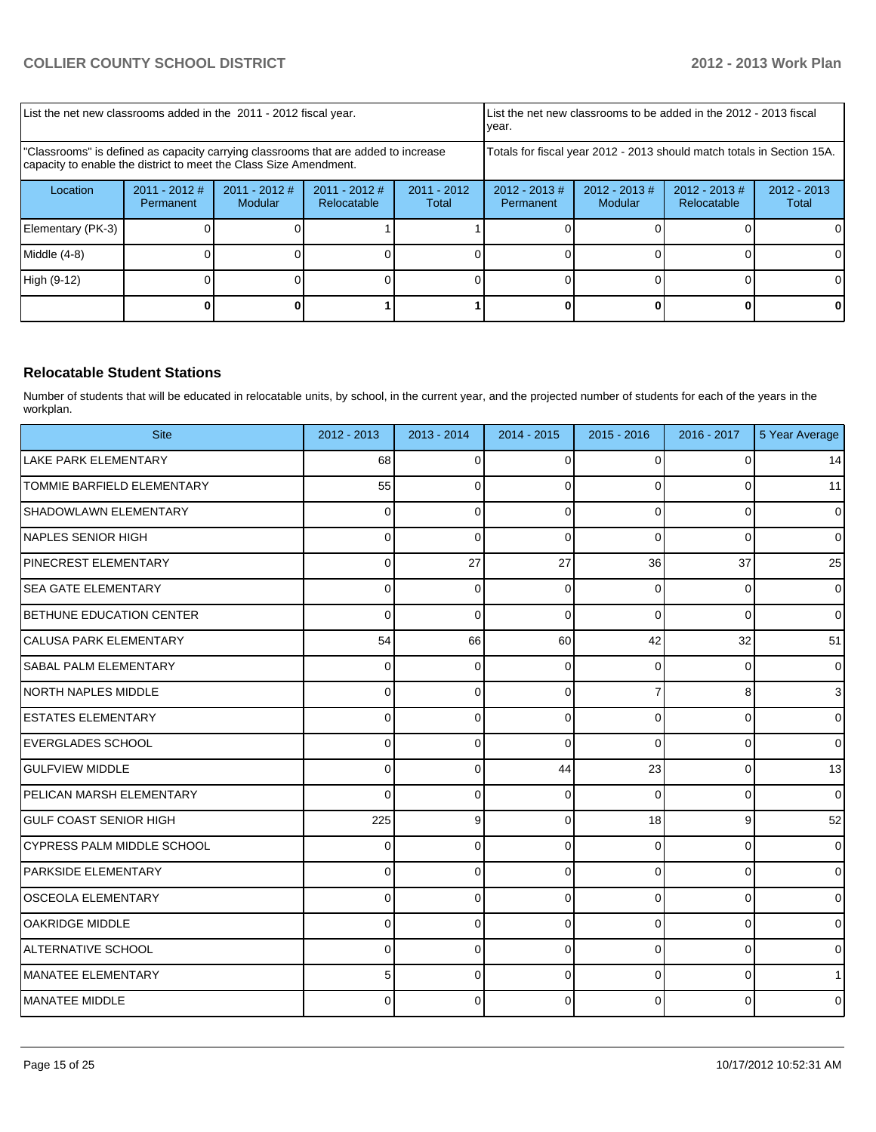| List the net new classrooms added in the 2011 - 2012 fiscal year.                                                                                       |                              |                            |                                                                        | Ivear.                 |                               | List the net new classrooms to be added in the 2012 - 2013 fiscal |                                 |                        |
|---------------------------------------------------------------------------------------------------------------------------------------------------------|------------------------------|----------------------------|------------------------------------------------------------------------|------------------------|-------------------------------|-------------------------------------------------------------------|---------------------------------|------------------------|
| "Classrooms" is defined as capacity carrying classrooms that are added to increase<br>capacity to enable the district to meet the Class Size Amendment. |                              |                            | Totals for fiscal year 2012 - 2013 should match totals in Section 15A. |                        |                               |                                                                   |                                 |                        |
| Location                                                                                                                                                | $2011 - 2012$ #<br>Permanent | $2011 - 2012$ #<br>Modular | $2011 - 2012$ #<br>Relocatable                                         | $2011 - 2012$<br>Total | $2012 - 2013 \#$<br>Permanent | $2012 - 2013 \#$<br>Modular                                       | $2012 - 2013 \#$<br>Relocatable | $2012 - 2013$<br>Total |
| Elementary (PK-3)                                                                                                                                       |                              |                            |                                                                        |                        |                               |                                                                   |                                 |                        |
| Middle (4-8)                                                                                                                                            |                              |                            |                                                                        |                        |                               |                                                                   |                                 |                        |
| High (9-12)                                                                                                                                             |                              |                            |                                                                        |                        |                               |                                                                   |                                 |                        |
|                                                                                                                                                         |                              |                            |                                                                        |                        |                               |                                                                   |                                 |                        |

#### **Relocatable Student Stations**

Number of students that will be educated in relocatable units, by school, in the current year, and the projected number of students for each of the years in the workplan.

| <b>Site</b>                       | 2012 - 2013 | 2013 - 2014 | 2014 - 2015 | 2015 - 2016    | 2016 - 2017    | 5 Year Average |
|-----------------------------------|-------------|-------------|-------------|----------------|----------------|----------------|
| LAKE PARK ELEMENTARY              | 68          | $\mathbf 0$ | $\Omega$    | $\Omega$       | $\overline{0}$ | 14             |
| <b>TOMMIE BARFIELD ELEMENTARY</b> | 55          | 0           | 0           | $\Omega$       | $\overline{0}$ | 11             |
| SHADOWLAWN ELEMENTARY             | 0           | 0           | 0           | $\Omega$       | 0              | $\mathbf 0$    |
| <b>INAPLES SENIOR HIGH</b>        | $\Omega$    | $\Omega$    | $\Omega$    | $\Omega$       | $\overline{0}$ | $\overline{0}$ |
| <b>PINECREST ELEMENTARY</b>       | 0           | 27          | 27          | 36             | 37             | 25             |
| <b>SEA GATE ELEMENTARY</b>        | $\Omega$    | $\mathbf 0$ | $\mathbf 0$ | $\overline{0}$ | $\overline{0}$ | $\pmb{0}$      |
| BETHUNE EDUCATION CENTER          | 0           | $\mathbf 0$ | $\Omega$    | $\Omega$       | $\overline{0}$ | $\overline{0}$ |
| <b>I</b> CALUSA PARK ELEMENTARY   | 54          | 66          | 60          | 42             | 32             | 51             |
| SABAL PALM ELEMENTARY             | 0           | 0           | $\Omega$    | $\Omega$       | $\overline{0}$ | $\mathbf 0$    |
| NORTH NAPLES MIDDLE               | 0           | $\mathbf 0$ | 0           | 7              | 8              | $\mathbf{3}$   |
| <b>ESTATES ELEMENTARY</b>         | $\Omega$    | $\Omega$    | $\Omega$    | $\Omega$       | $\Omega$       | $\overline{0}$ |
| <b>IEVERGLADES SCHOOL</b>         | $\Omega$    | $\Omega$    | $\Omega$    | $\Omega$       | $\overline{0}$ | $\overline{0}$ |
| <b>GULFVIEW MIDDLE</b>            | 0           | 0           | 44          | 23             | $\overline{0}$ | 13             |
| PELICAN MARSH ELEMENTARY          | $\Omega$    | $\mathbf 0$ | $\Omega$    | $\Omega$       | $\overline{0}$ | $\overline{0}$ |
| IGULF COAST SENIOR HIGH           | 225         | 9           | $\Omega$    | 18             | $\overline{9}$ | 52             |
| CYPRESS PALM MIDDLE SCHOOL        | 0           | 0           | $\Omega$    | $\Omega$       | 0              | $\mathbf 0$    |
| <b>PARKSIDE ELEMENTARY</b>        | $\Omega$    | $\Omega$    | $\Omega$    | $\Omega$       | $\overline{0}$ | $\overline{0}$ |
| <b>OSCEOLA ELEMENTARY</b>         | $\Omega$    | $\mathbf 0$ | $\Omega$    | $\Omega$       | $\overline{0}$ | $\mathbf 0$    |
| <b>OAKRIDGE MIDDLE</b>            | $\Omega$    | 0           | $\Omega$    | $\Omega$       | $\overline{0}$ | $\overline{0}$ |
| ALTERNATIVE SCHOOL                | $\Omega$    | 0           | $\Omega$    | $\Omega$       | $\overline{0}$ | $\mathbf 0$    |
| MANATEE ELEMENTARY                | 5           | $\Omega$    | $\Omega$    | $\Omega$       | $\overline{0}$ | $\mathbf{1}$   |
| MANATEE MIDDLE                    | 0           | $\Omega$    | $\Omega$    | $\Omega$       | $\overline{0}$ | $\overline{0}$ |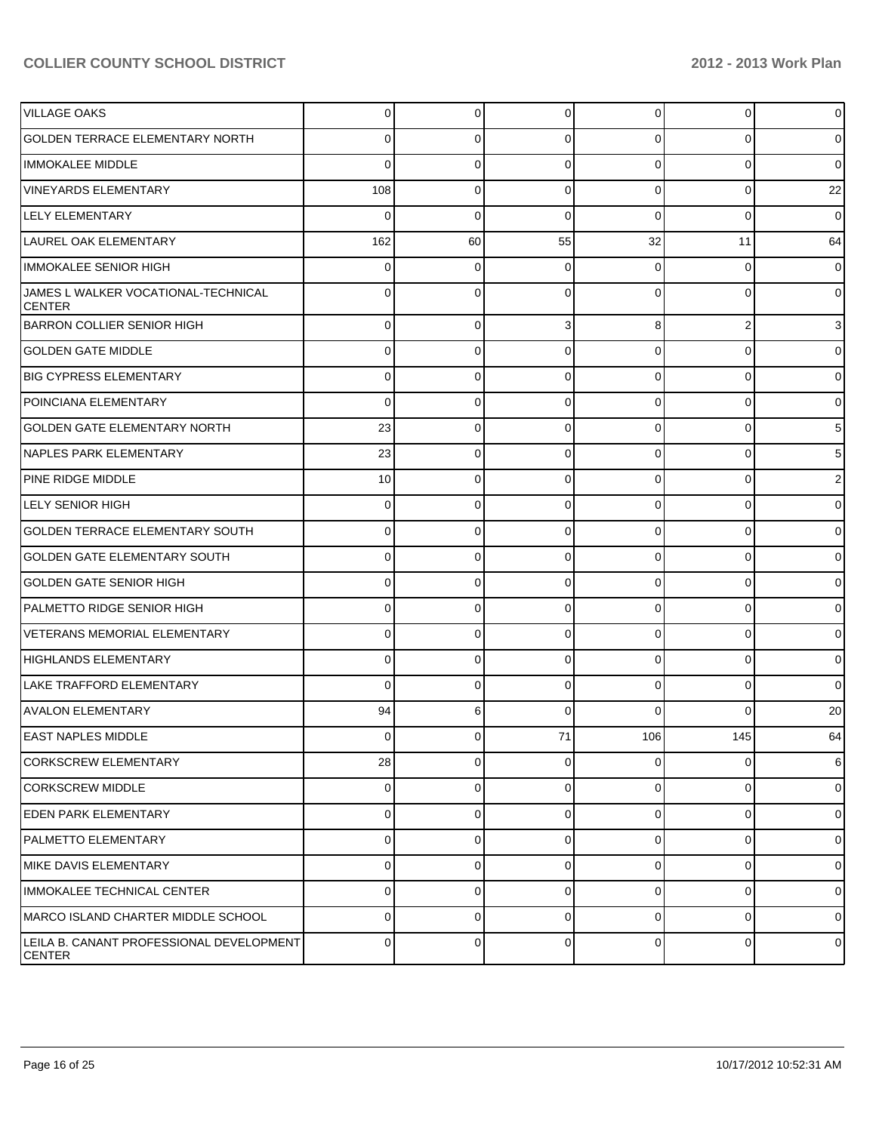| <b>VILLAGE OAKS</b>                                       | $\Omega$        | 0           | 0        | $\Omega$       | $\Omega$       | $\overline{0}$ |
|-----------------------------------------------------------|-----------------|-------------|----------|----------------|----------------|----------------|
| <b>GOLDEN TERRACE ELEMENTARY NORTH</b>                    | 0               | 0           | 0        | 0              | 0              | $\overline{0}$ |
| IMMOKALEE MIDDLE                                          | 0               | 0           | 0        | $\Omega$       | 0              | $\overline{0}$ |
| <b>VINEYARDS ELEMENTARY</b>                               | 108             | $\mathbf 0$ | 0        | $\Omega$       | 0              | 22             |
| <b>LELY ELEMENTARY</b>                                    | 0               | $\mathbf 0$ | 0        | $\Omega$       | 0              | $\overline{0}$ |
| LAUREL OAK ELEMENTARY                                     | 162             | 60          | 55       | 32             | 11             | 64             |
| <b>IMMOKALEE SENIOR HIGH</b>                              | 0               | 0           | n        | 0              | 0              | $\overline{0}$ |
| JAMES L WALKER VOCATIONAL-TECHNICAL<br><b>CENTER</b>      | 0               | $\Omega$    | 0        | 0              | O              | $\overline{0}$ |
| BARRON COLLIER SENIOR HIGH                                | $\Omega$        | $\mathbf 0$ | 3        | 8              | 2              | 3              |
| <b>GOLDEN GATE MIDDLE</b>                                 | $\Omega$        | 0           | 0        | $\Omega$       | 0              | $\overline{0}$ |
| <b>BIG CYPRESS ELEMENTARY</b>                             | $\Omega$        | 0           | 0        | $\overline{0}$ | 0              | $\overline{0}$ |
| POINCIANA ELEMENTARY                                      | 0               | 0           | $\Omega$ | $\Omega$       | $\Omega$       | $\overline{0}$ |
| <b>GOLDEN GATE ELEMENTARY NORTH</b>                       | 23              | 0           | 0        | $\overline{0}$ | 0              | 5 <sub>5</sub> |
| NAPLES PARK ELEMENTARY                                    | 23              | 0           | 0        | $\Omega$       | $\Omega$       | 5 <sub>l</sub> |
| PINE RIDGE MIDDLE                                         | 10 <sup>1</sup> | 0           | $\Omega$ | $\overline{0}$ | 0              | $\overline{2}$ |
| LELY SENIOR HIGH                                          | $\Omega$        | 0           | $\Omega$ | $\Omega$       | $\Omega$       | $\overline{0}$ |
| <b>GOLDEN TERRACE ELEMENTARY SOUTH</b>                    | $\Omega$        | 0           | 0        | $\overline{0}$ | 0              | $\overline{0}$ |
| <b>GOLDEN GATE ELEMENTARY SOUTH</b>                       | $\Omega$        | 0           | $\Omega$ | $\Omega$       | $\Omega$       | $\overline{0}$ |
| <b>GOLDEN GATE SENIOR HIGH</b>                            | $\Omega$        | 0           | 0        | $\overline{0}$ | $\Omega$       | $\overline{0}$ |
| PALMETTO RIDGE SENIOR HIGH                                | $\Omega$        | 0           | $\Omega$ | $\Omega$       | $\Omega$       | $\overline{0}$ |
| <b>VETERANS MEMORIAL ELEMENTARY</b>                       | $\Omega$        | 0           | 0        | $\overline{0}$ | $\Omega$       | $\overline{0}$ |
| HIGHLANDS ELEMENTARY                                      | $\Omega$        | 0           | $\Omega$ | $\Omega$       | 0              | $\overline{0}$ |
| LAKE TRAFFORD ELEMENTARY                                  | $\Omega$        | 0           | $\Omega$ | $\overline{0}$ | $\Omega$       | $\overline{0}$ |
| <b>AVALON ELEMENTARY</b>                                  | 94              | 6           | 0        | $\Omega$       | $\Omega$       | 20             |
| EAST NAPLES MIDDLE                                        | $\Omega$        | 0           | 71       | 106            | 145            | 64             |
| <b>CORKSCREW ELEMENTARY</b>                               | 28              | 0           | $\Omega$ | $\overline{0}$ | $\Omega$       | 6              |
| <b>CORKSCREW MIDDLE</b>                                   | $\Omega$        | 0           | 0        | $\overline{0}$ | $\overline{0}$ | $\overline{0}$ |
| <b>LEDEN PARK ELEMENTARY</b>                              | $\Omega$        | 0           | 0        | $\overline{0}$ | $\overline{0}$ | $\overline{0}$ |
| <b>PALMETTO ELEMENTARY</b>                                | $\Omega$        | 0           | 0        | $\overline{0}$ | $\overline{0}$ | $\overline{0}$ |
| MIKE DAVIS ELEMENTARY                                     | $\Omega$        | 0           | 0        | $\overline{0}$ | $\overline{0}$ | $\overline{0}$ |
| IMMOKALEE TECHNICAL CENTER                                | $\Omega$        | 0           | 0        | $\overline{0}$ | $\overline{0}$ | $\overline{0}$ |
| MARCO ISLAND CHARTER MIDDLE SCHOOL                        | $\Omega$        | 0           | $\Omega$ | $\overline{0}$ | $\overline{0}$ | $\overline{0}$ |
| LEILA B. CANANT PROFESSIONAL DEVELOPMENT<br><b>CENTER</b> | $\Omega$        | 0           | 0        | $\overline{0}$ | $\overline{0}$ | $\overline{0}$ |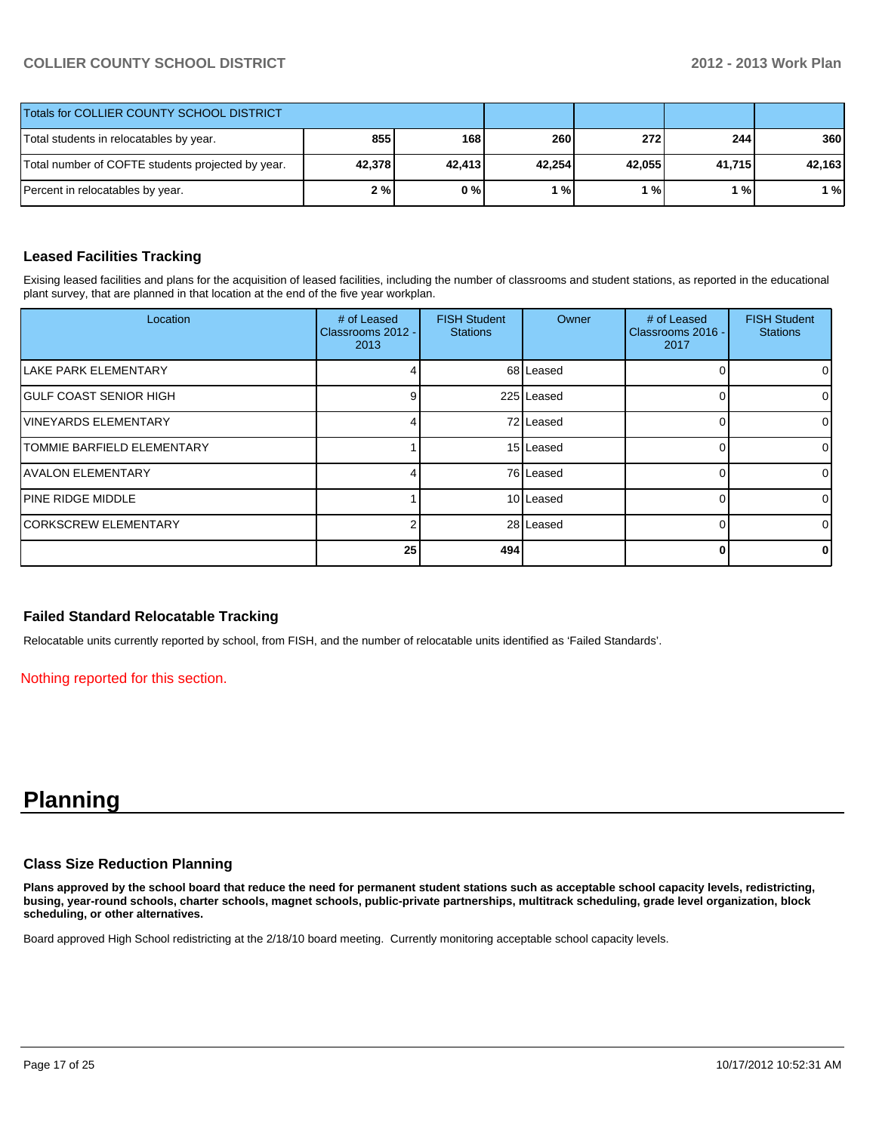| <b>Totals for COLLIER COUNTY SCHOOL DISTRICT</b>  |        |        |        |        |        |        |
|---------------------------------------------------|--------|--------|--------|--------|--------|--------|
| Total students in relocatables by year.           | 855    | 168 l  | 260    | 272    | 244 l  | 360    |
| Total number of COFTE students projected by year. | 42,378 | 42.413 | 42.254 | 42.055 | 41.715 | 42,163 |
| Percent in relocatables by year.                  | 2%     | 0%     | ' %।   | 1 % I  | 1 % I  | 1 %    |

#### **Leased Facilities Tracking**

Exising leased facilities and plans for the acquisition of leased facilities, including the number of classrooms and student stations, as reported in the educational plant survey, that are planned in that location at the end of the five year workplan.

| Location                           | # of Leased<br>Classrooms 2012 -<br>2013 | <b>FISH Student</b><br><b>Stations</b> | Owner      | # of Leased<br>Classrooms 2016 -<br>2017 | <b>FISH Student</b><br><b>Stations</b> |
|------------------------------------|------------------------------------------|----------------------------------------|------------|------------------------------------------|----------------------------------------|
| <b>ILAKE PARK ELEMENTARY</b>       |                                          |                                        | 68 Leased  |                                          | 01                                     |
| <b>GULF COAST SENIOR HIGH</b>      |                                          |                                        | 225 Leased |                                          | 01                                     |
| <b>IVINEYARDS ELEMENTARY</b>       |                                          |                                        | 72 Leased  |                                          | $\overline{0}$                         |
| <b>ITOMMIE BARFIELD ELEMENTARY</b> |                                          |                                        | 15 Leased  |                                          | $\overline{0}$                         |
| <b>AVALON ELEMENTARY</b>           |                                          |                                        | 76 Leased  |                                          | $\overline{0}$                         |
| <b>IPINE RIDGE MIDDLE</b>          |                                          |                                        | 10 Leased  |                                          | $\Omega$                               |
| CORKSCREW ELEMENTARY               |                                          |                                        | 28 Leased  |                                          | $\Omega$                               |
|                                    | 25                                       | 494                                    |            |                                          | 0                                      |

#### **Failed Standard Relocatable Tracking**

Relocatable units currently reported by school, from FISH, and the number of relocatable units identified as 'Failed Standards'.

Nothing reported for this section.

# **Planning**

#### **Class Size Reduction Planning**

**Plans approved by the school board that reduce the need for permanent student stations such as acceptable school capacity levels, redistricting, busing, year-round schools, charter schools, magnet schools, public-private partnerships, multitrack scheduling, grade level organization, block scheduling, or other alternatives.**

Board approved High School redistricting at the 2/18/10 board meeting. Currently monitoring acceptable school capacity levels.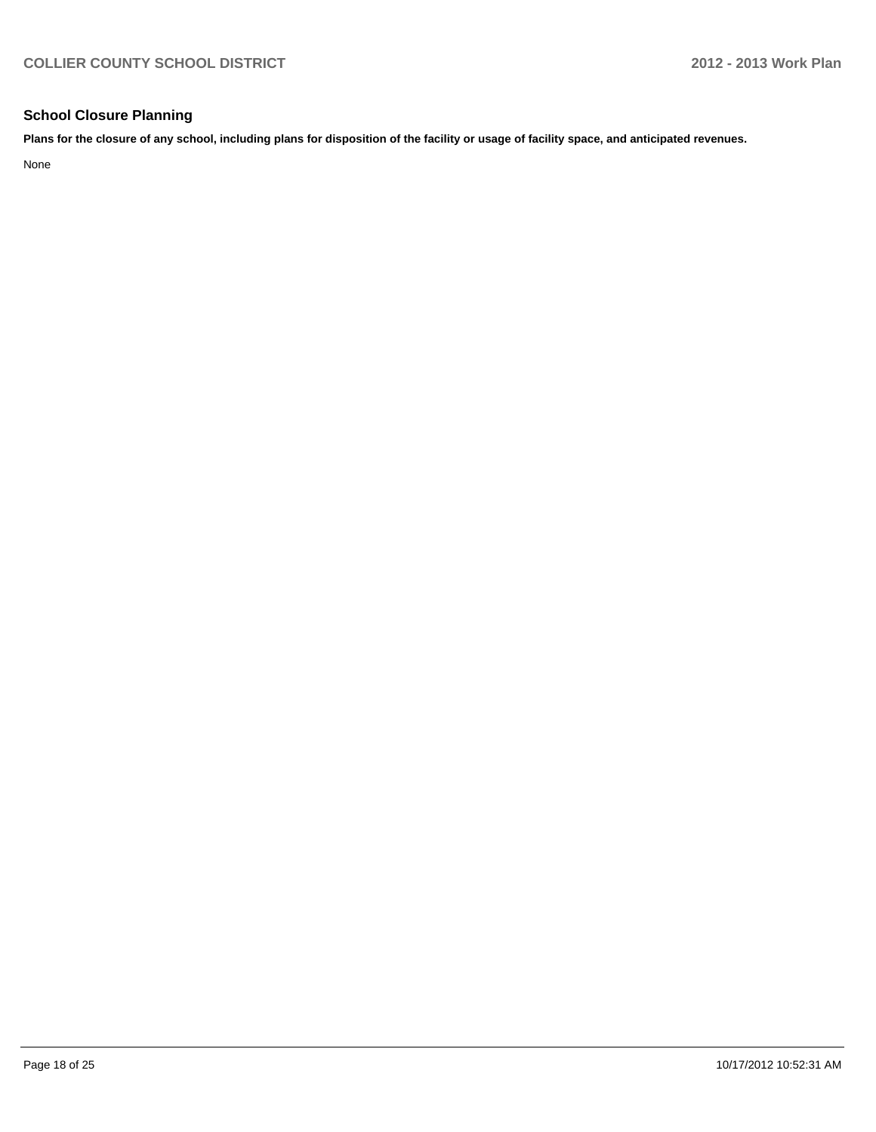#### **School Closure Planning**

**Plans for the closure of any school, including plans for disposition of the facility or usage of facility space, and anticipated revenues.**

None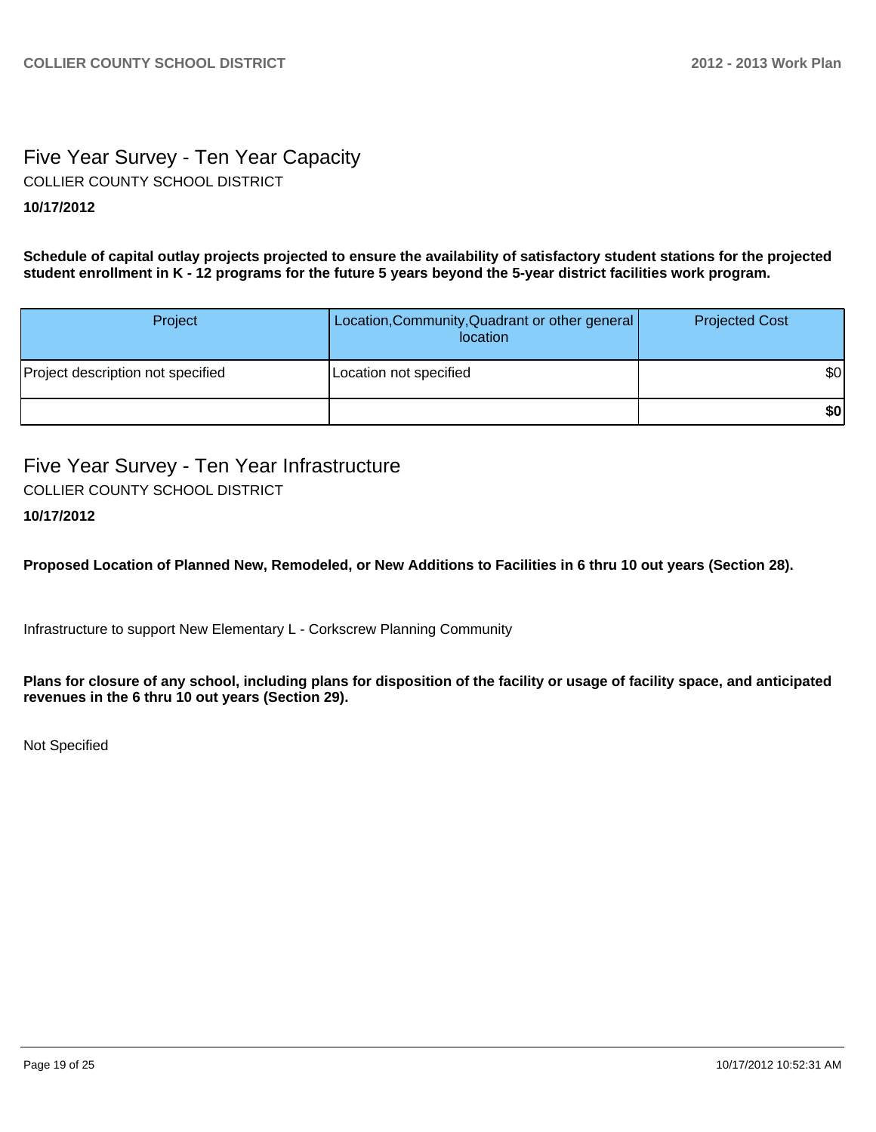# Five Year Survey - Ten Year Capacity COLLIER COUNTY SCHOOL DISTRICT

#### **10/17/2012**

**Schedule of capital outlay projects projected to ensure the availability of satisfactory student stations for the projected student enrollment in K - 12 programs for the future 5 years beyond the 5-year district facilities work program.**

| Project                           | Location, Community, Quadrant or other general<br>location | <b>Projected Cost</b> |
|-----------------------------------|------------------------------------------------------------|-----------------------|
| Project description not specified | Location not specified                                     | \$0                   |
|                                   |                                                            | \$0                   |

Five Year Survey - Ten Year Infrastructure COLLIER COUNTY SCHOOL DISTRICT

### **10/17/2012**

**Proposed Location of Planned New, Remodeled, or New Additions to Facilities in 6 thru 10 out years (Section 28).**

Infrastructure to support New Elementary L - Corkscrew Planning Community

**Plans for closure of any school, including plans for disposition of the facility or usage of facility space, and anticipated revenues in the 6 thru 10 out years (Section 29).**

Not Specified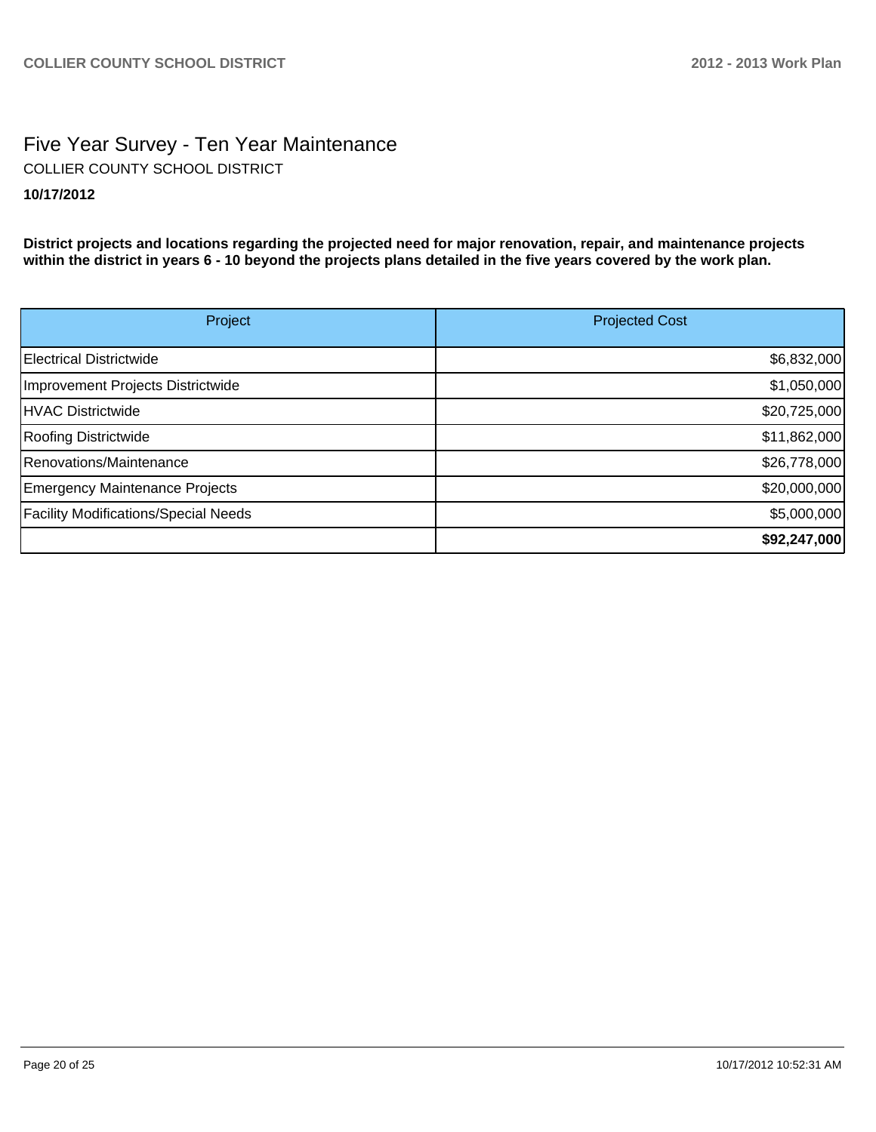# Five Year Survey - Ten Year Maintenance **10/17/2012** COLLIER COUNTY SCHOOL DISTRICT

**District projects and locations regarding the projected need for major renovation, repair, and maintenance projects within the district in years 6 - 10 beyond the projects plans detailed in the five years covered by the work plan.**

| Project                                     | <b>Projected Cost</b> |
|---------------------------------------------|-----------------------|
| Electrical Districtwide                     | \$6,832,000           |
| Improvement Projects Districtwide           | \$1,050,000           |
| HVAC Districtwide                           | \$20,725,000          |
| Roofing Districtwide                        | \$11,862,000          |
| Renovations/Maintenance                     | \$26,778,000          |
| <b>Emergency Maintenance Projects</b>       | \$20,000,000          |
| <b>Facility Modifications/Special Needs</b> | \$5,000,000           |
|                                             | \$92,247,000          |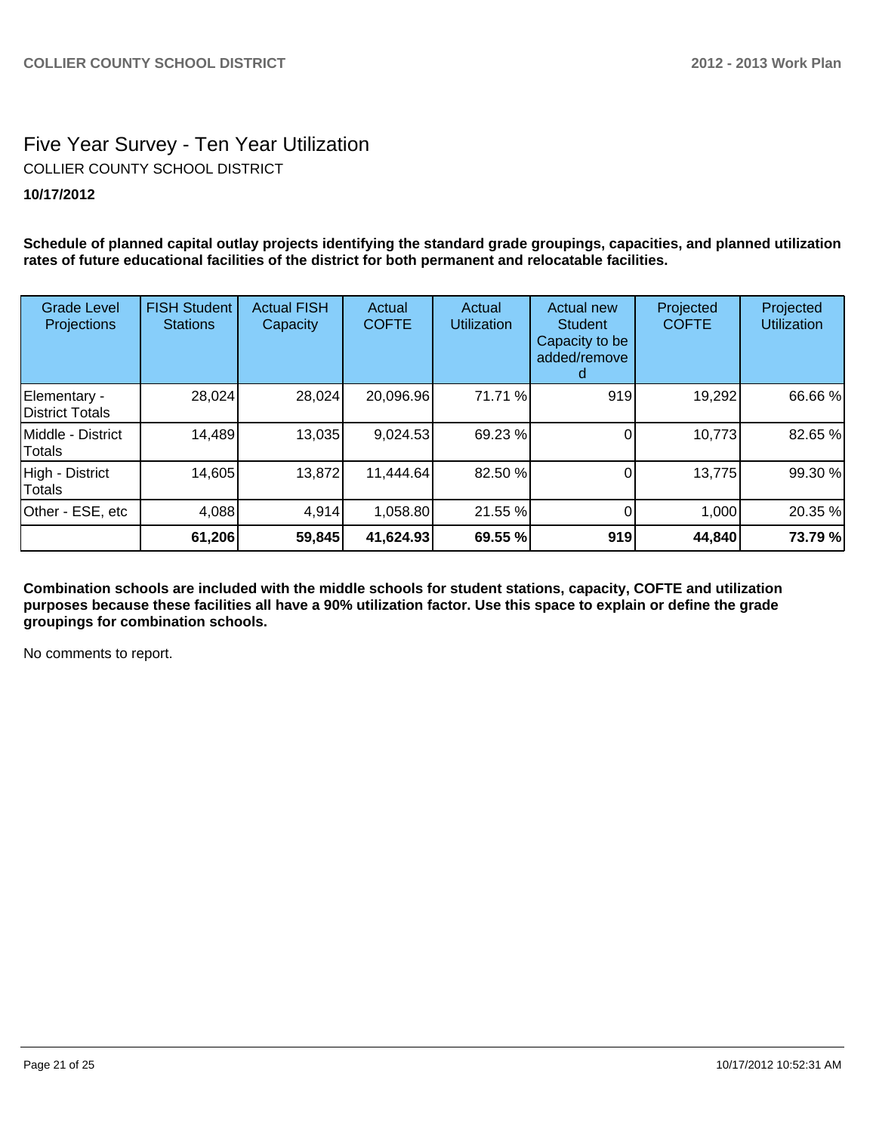### Five Year Survey - Ten Year Utilization **10/17/2012** COLLIER COUNTY SCHOOL DISTRICT

**Schedule of planned capital outlay projects identifying the standard grade groupings, capacities, and planned utilization rates of future educational facilities of the district for both permanent and relocatable facilities.**

| <b>Grade Level</b><br>Projections | <b>FISH Student</b><br><b>Stations</b> | <b>Actual FISH</b><br>Capacity | Actual<br><b>COFTE</b> | Actual<br><b>Utilization</b> | <b>Actual new</b><br><b>Student</b><br>Capacity to be<br>added/remove | Projected<br><b>COFTE</b> | Projected<br><b>Utilization</b> |
|-----------------------------------|----------------------------------------|--------------------------------|------------------------|------------------------------|-----------------------------------------------------------------------|---------------------------|---------------------------------|
| Elementary -<br>District Totals   | 28,024                                 | 28,024                         | 20,096.96              | 71.71 %                      | 919                                                                   | 19,292                    | 66.66 %                         |
| IMiddle - District<br>Totals      | 14,489                                 | 13,035                         | 9,024.53               | 69.23 %                      |                                                                       | 10,773                    | 82.65 %                         |
| High - District<br><b>Totals</b>  | 14,605                                 | 13,872                         | 11,444.64              | 82.50 %                      |                                                                       | 13,775                    | 99.30 %                         |
| Other - ESE, etc                  | 4,088                                  | 4,914                          | 1,058.80               | 21.55 %                      |                                                                       | 1,000                     | 20.35 %                         |
|                                   | 61,206                                 | 59,845                         | 41,624.93              | 69.55 %                      | 919                                                                   | 44,840                    | 73.79 %                         |

**Combination schools are included with the middle schools for student stations, capacity, COFTE and utilization purposes because these facilities all have a 90% utilization factor. Use this space to explain or define the grade groupings for combination schools.**

No comments to report.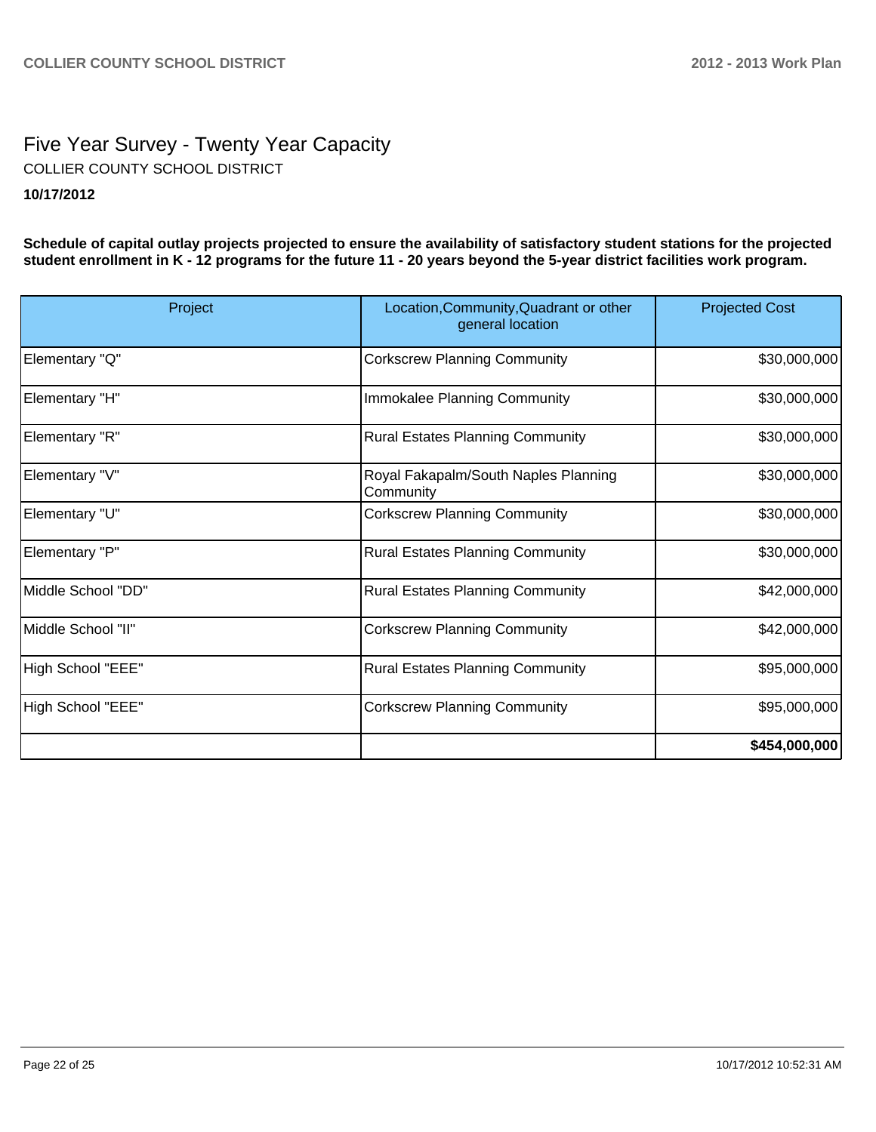# Five Year Survey - Twenty Year Capacity **10/17/2012** COLLIER COUNTY SCHOOL DISTRICT

**Schedule of capital outlay projects projected to ensure the availability of satisfactory student stations for the projected student enrollment in K - 12 programs for the future 11 - 20 years beyond the 5-year district facilities work program.**

| Project            | Location, Community, Quadrant or other<br>general location | <b>Projected Cost</b> |
|--------------------|------------------------------------------------------------|-----------------------|
| Elementary "Q"     | <b>Corkscrew Planning Community</b>                        | \$30,000,000          |
| Elementary "H"     | Immokalee Planning Community                               | \$30,000,000          |
| Elementary "R"     | <b>Rural Estates Planning Community</b>                    | \$30,000,000          |
| Elementary "V"     | Royal Fakapalm/South Naples Planning<br>Community          | \$30,000,000          |
| Elementary "U"     | <b>Corkscrew Planning Community</b>                        | \$30,000,000          |
| Elementary "P"     | <b>Rural Estates Planning Community</b>                    | \$30,000,000          |
| Middle School "DD" | <b>Rural Estates Planning Community</b>                    | \$42,000,000          |
| Middle School "II" | <b>Corkscrew Planning Community</b>                        | \$42,000,000          |
| High School "EEE"  | <b>Rural Estates Planning Community</b>                    | \$95,000,000          |
| High School "EEE"  | <b>Corkscrew Planning Community</b>                        | \$95,000,000          |
|                    |                                                            | \$454,000,000         |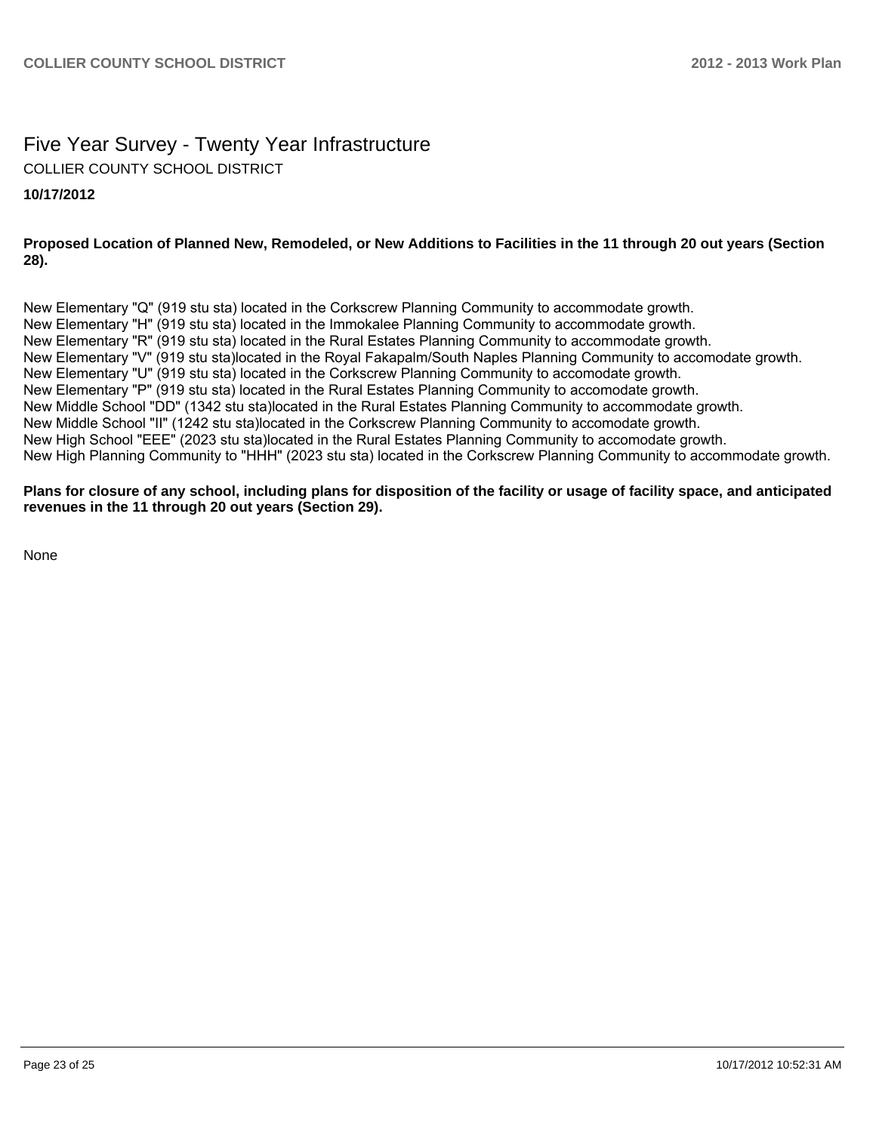# Five Year Survey - Twenty Year Infrastructure COLLIER COUNTY SCHOOL DISTRICT

#### **10/17/2012**

#### **Proposed Location of Planned New, Remodeled, or New Additions to Facilities in the 11 through 20 out years (Section 28).**

New Elementary "Q" (919 stu sta) located in the Corkscrew Planning Community to accommodate growth. New Elementary "H" (919 stu sta) located in the Immokalee Planning Community to accommodate growth. New Elementary "R" (919 stu sta) located in the Rural Estates Planning Community to accommodate growth. New Elementary "V" (919 stu sta)located in the Royal Fakapalm/South Naples Planning Community to accomodate growth. New Elementary "U" (919 stu sta) located in the Corkscrew Planning Community to accomodate growth. New Elementary "P" (919 stu sta) located in the Rural Estates Planning Community to accomodate growth. New Middle School "DD" (1342 stu sta)located in the Rural Estates Planning Community to accommodate growth. New Middle School "II" (1242 stu sta)located in the Corkscrew Planning Community to accomodate growth. New High School "EEE" (2023 stu sta)located in the Rural Estates Planning Community to accomodate growth. New High Planning Community to "HHH" (2023 stu sta) located in the Corkscrew Planning Community to accommodate growth.

#### **Plans for closure of any school, including plans for disposition of the facility or usage of facility space, and anticipated revenues in the 11 through 20 out years (Section 29).**

None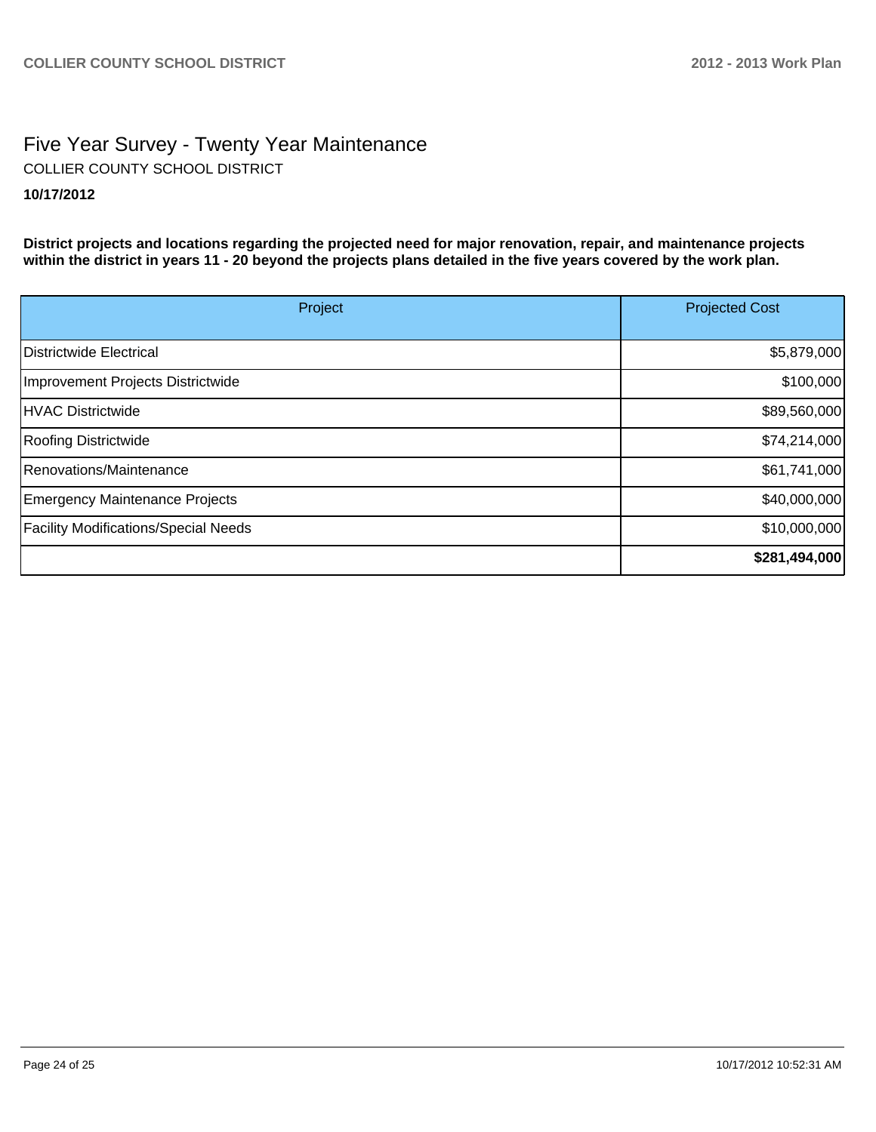### Five Year Survey - Twenty Year Maintenance **10/17/2012** COLLIER COUNTY SCHOOL DISTRICT

**District projects and locations regarding the projected need for major renovation, repair, and maintenance projects within the district in years 11 - 20 beyond the projects plans detailed in the five years covered by the work plan.**

| Project                                     | <b>Projected Cost</b> |
|---------------------------------------------|-----------------------|
|                                             |                       |
| Districtwide Electrical                     | \$5,879,000           |
| Improvement Projects Districtwide           | \$100,000             |
| HVAC Districtwide                           | \$89,560,000          |
| <b>Roofing Districtwide</b>                 | \$74,214,000          |
| Renovations/Maintenance                     | \$61,741,000          |
| Emergency Maintenance Projects              | \$40,000,000          |
| <b>Facility Modifications/Special Needs</b> | \$10,000,000          |
|                                             | \$281,494,000         |